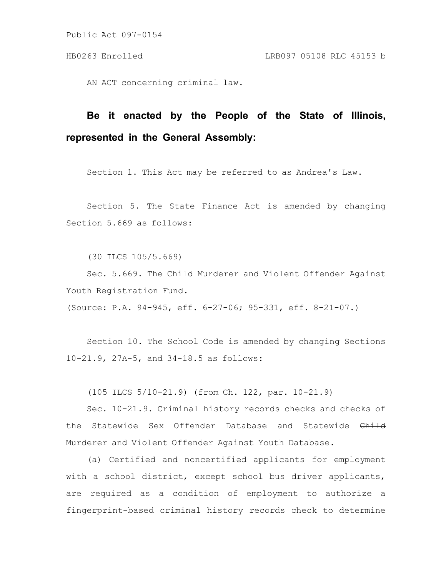AN ACT concerning criminal law.

# **Be it enacted by the People of the State of Illinois, represented in the General Assembly:**

Section 1. This Act may be referred to as Andrea's Law.

Section 5. The State Finance Act is amended by changing Section 5.669 as follows:

(30 ILCS 105/5.669)

Sec. 5.669. The Child Murderer and Violent Offender Against Youth Registration Fund.

(Source: P.A. 94-945, eff. 6-27-06; 95-331, eff. 8-21-07.)

Section 10. The School Code is amended by changing Sections 10-21.9, 27A-5, and 34-18.5 as follows:

(105 ILCS 5/10-21.9) (from Ch. 122, par. 10-21.9)

Sec. 10-21.9. Criminal history records checks and checks of the Statewide Sex Offender Database and Statewide Child Murderer and Violent Offender Against Youth Database.

(a) Certified and noncertified applicants for employment with a school district, except school bus driver applicants, are required as a condition of employment to authorize a fingerprint-based criminal history records check to determine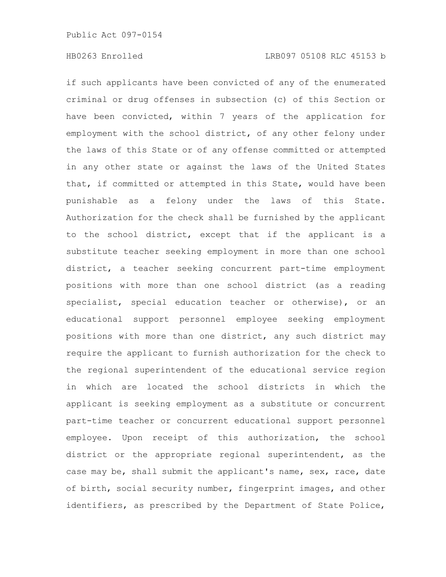if such applicants have been convicted of any of the enumerated criminal or drug offenses in subsection (c) of this Section or have been convicted, within 7 years of the application for employment with the school district, of any other felony under the laws of this State or of any offense committed or attempted in any other state or against the laws of the United States that, if committed or attempted in this State, would have been punishable as a felony under the laws of this State. Authorization for the check shall be furnished by the applicant to the school district, except that if the applicant is a substitute teacher seeking employment in more than one school district, a teacher seeking concurrent part-time employment positions with more than one school district (as a reading specialist, special education teacher or otherwise), or an educational support personnel employee seeking employment positions with more than one district, any such district may require the applicant to furnish authorization for the check to the regional superintendent of the educational service region in which are located the school districts in which the applicant is seeking employment as a substitute or concurrent part-time teacher or concurrent educational support personnel employee. Upon receipt of this authorization, the school district or the appropriate regional superintendent, as the case may be, shall submit the applicant's name, sex, race, date of birth, social security number, fingerprint images, and other identifiers, as prescribed by the Department of State Police,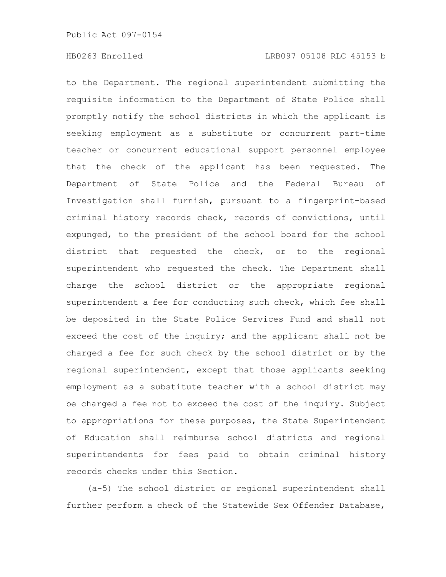to the Department. The regional superintendent submitting the requisite information to the Department of State Police shall promptly notify the school districts in which the applicant is seeking employment as a substitute or concurrent part-time teacher or concurrent educational support personnel employee that the check of the applicant has been requested. The Department of State Police and the Federal Bureau of Investigation shall furnish, pursuant to a fingerprint-based criminal history records check, records of convictions, until expunged, to the president of the school board for the school district that requested the check, or to the regional superintendent who requested the check. The Department shall charge the school district or the appropriate regional superintendent a fee for conducting such check, which fee shall be deposited in the State Police Services Fund and shall not exceed the cost of the inquiry; and the applicant shall not be charged a fee for such check by the school district or by the regional superintendent, except that those applicants seeking employment as a substitute teacher with a school district may be charged a fee not to exceed the cost of the inquiry. Subject to appropriations for these purposes, the State Superintendent of Education shall reimburse school districts and regional superintendents for fees paid to obtain criminal history records checks under this Section.

(a-5) The school district or regional superintendent shall further perform a check of the Statewide Sex Offender Database,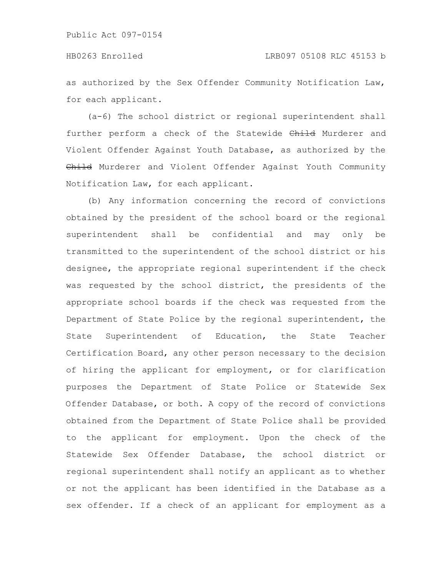as authorized by the Sex Offender Community Notification Law, for each applicant.

(a-6) The school district or regional superintendent shall further perform a check of the Statewide Child Murderer and Violent Offender Against Youth Database, as authorized by the Child Murderer and Violent Offender Against Youth Community Notification Law, for each applicant.

(b) Any information concerning the record of convictions obtained by the president of the school board or the regional superintendent shall be confidential and may only be transmitted to the superintendent of the school district or his designee, the appropriate regional superintendent if the check was requested by the school district, the presidents of the appropriate school boards if the check was requested from the Department of State Police by the regional superintendent, the State Superintendent of Education, the State Teacher Certification Board, any other person necessary to the decision of hiring the applicant for employment, or for clarification purposes the Department of State Police or Statewide Sex Offender Database, or both. A copy of the record of convictions obtained from the Department of State Police shall be provided to the applicant for employment. Upon the check of the Statewide Sex Offender Database, the school district or regional superintendent shall notify an applicant as to whether or not the applicant has been identified in the Database as a sex offender. If a check of an applicant for employment as a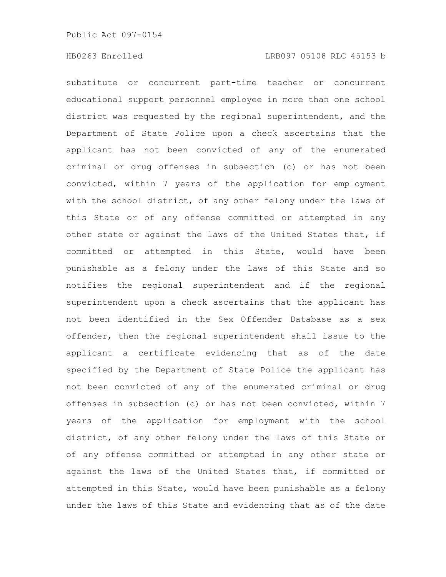substitute or concurrent part-time teacher or concurrent educational support personnel employee in more than one school district was requested by the regional superintendent, and the Department of State Police upon a check ascertains that the applicant has not been convicted of any of the enumerated criminal or drug offenses in subsection (c) or has not been convicted, within 7 years of the application for employment with the school district, of any other felony under the laws of this State or of any offense committed or attempted in any other state or against the laws of the United States that, if committed or attempted in this State, would have been punishable as a felony under the laws of this State and so notifies the regional superintendent and if the regional superintendent upon a check ascertains that the applicant has not been identified in the Sex Offender Database as a sex offender, then the regional superintendent shall issue to the applicant a certificate evidencing that as of the date specified by the Department of State Police the applicant has not been convicted of any of the enumerated criminal or drug offenses in subsection (c) or has not been convicted, within 7 years of the application for employment with the school district, of any other felony under the laws of this State or of any offense committed or attempted in any other state or against the laws of the United States that, if committed or attempted in this State, would have been punishable as a felony under the laws of this State and evidencing that as of the date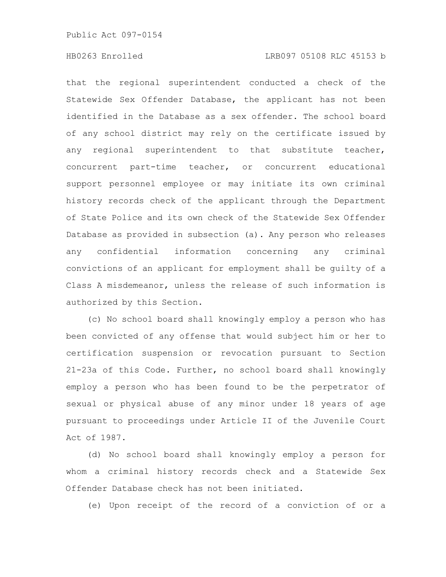that the regional superintendent conducted a check of the Statewide Sex Offender Database, the applicant has not been identified in the Database as a sex offender. The school board of any school district may rely on the certificate issued by any regional superintendent to that substitute teacher, concurrent part-time teacher, or concurrent educational support personnel employee or may initiate its own criminal history records check of the applicant through the Department of State Police and its own check of the Statewide Sex Offender Database as provided in subsection (a). Any person who releases any confidential information concerning any criminal convictions of an applicant for employment shall be guilty of a Class A misdemeanor, unless the release of such information is authorized by this Section.

(c) No school board shall knowingly employ a person who has been convicted of any offense that would subject him or her to certification suspension or revocation pursuant to Section 21-23a of this Code. Further, no school board shall knowingly employ a person who has been found to be the perpetrator of sexual or physical abuse of any minor under 18 years of age pursuant to proceedings under Article II of the Juvenile Court Act of 1987.

(d) No school board shall knowingly employ a person for whom a criminal history records check and a Statewide Sex Offender Database check has not been initiated.

(e) Upon receipt of the record of a conviction of or a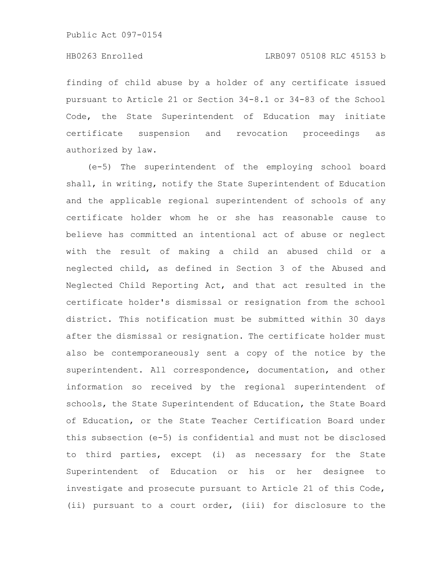# HB0263 Enrolled LRB097 05108 RLC 45153 b

finding of child abuse by a holder of any certificate issued pursuant to Article 21 or Section 34-8.1 or 34-83 of the School Code, the State Superintendent of Education may initiate certificate suspension and revocation proceedings as authorized by law.

(e-5) The superintendent of the employing school board shall, in writing, notify the State Superintendent of Education and the applicable regional superintendent of schools of any certificate holder whom he or she has reasonable cause to believe has committed an intentional act of abuse or neglect with the result of making a child an abused child or a neglected child, as defined in Section 3 of the Abused and Neglected Child Reporting Act, and that act resulted in the certificate holder's dismissal or resignation from the school district. This notification must be submitted within 30 days after the dismissal or resignation. The certificate holder must also be contemporaneously sent a copy of the notice by the superintendent. All correspondence, documentation, and other information so received by the regional superintendent of schools, the State Superintendent of Education, the State Board of Education, or the State Teacher Certification Board under this subsection (e-5) is confidential and must not be disclosed to third parties, except (i) as necessary for the State Superintendent of Education or his or her designee to investigate and prosecute pursuant to Article 21 of this Code, (ii) pursuant to a court order, (iii) for disclosure to the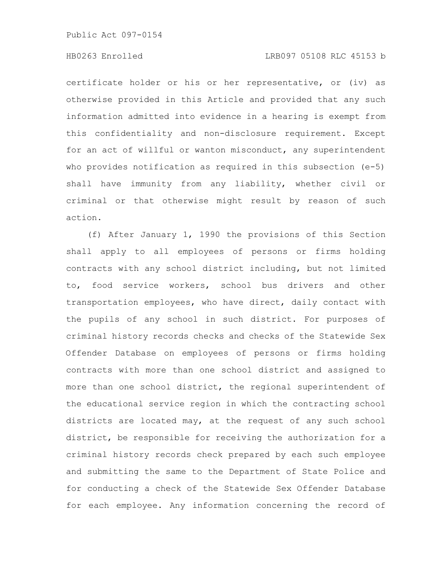# HB0263 Enrolled LRB097 05108 RLC 45153 b

certificate holder or his or her representative, or (iv) as otherwise provided in this Article and provided that any such information admitted into evidence in a hearing is exempt from this confidentiality and non-disclosure requirement. Except for an act of willful or wanton misconduct, any superintendent who provides notification as required in this subsection (e-5) shall have immunity from any liability, whether civil or criminal or that otherwise might result by reason of such action.

(f) After January 1, 1990 the provisions of this Section shall apply to all employees of persons or firms holding contracts with any school district including, but not limited to, food service workers, school bus drivers and other transportation employees, who have direct, daily contact with the pupils of any school in such district. For purposes of criminal history records checks and checks of the Statewide Sex Offender Database on employees of persons or firms holding contracts with more than one school district and assigned to more than one school district, the regional superintendent of the educational service region in which the contracting school districts are located may, at the request of any such school district, be responsible for receiving the authorization for a criminal history records check prepared by each such employee and submitting the same to the Department of State Police and for conducting a check of the Statewide Sex Offender Database for each employee. Any information concerning the record of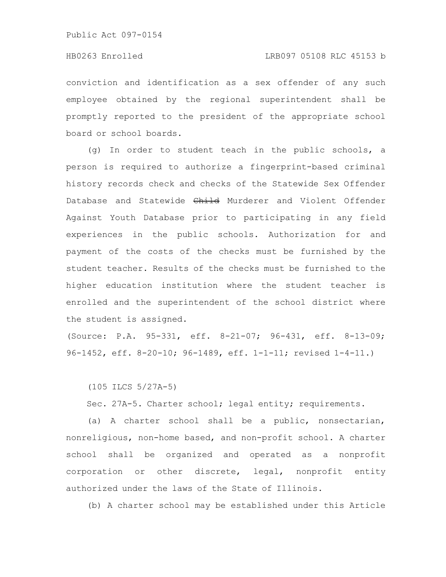conviction and identification as a sex offender of any such employee obtained by the regional superintendent shall be promptly reported to the president of the appropriate school board or school boards.

(g) In order to student teach in the public schools, a person is required to authorize a fingerprint-based criminal history records check and checks of the Statewide Sex Offender Database and Statewide Child Murderer and Violent Offender Against Youth Database prior to participating in any field experiences in the public schools. Authorization for and payment of the costs of the checks must be furnished by the student teacher. Results of the checks must be furnished to the higher education institution where the student teacher is enrolled and the superintendent of the school district where the student is assigned.

(Source: P.A. 95-331, eff. 8-21-07; 96-431, eff. 8-13-09; 96-1452, eff. 8-20-10; 96-1489, eff. 1-1-11; revised 1-4-11.)

(105 ILCS 5/27A-5)

Sec. 27A-5. Charter school; legal entity; requirements.

(a) A charter school shall be a public, nonsectarian, nonreligious, non-home based, and non-profit school. A charter school shall be organized and operated as a nonprofit corporation or other discrete, legal, nonprofit entity authorized under the laws of the State of Illinois.

(b) A charter school may be established under this Article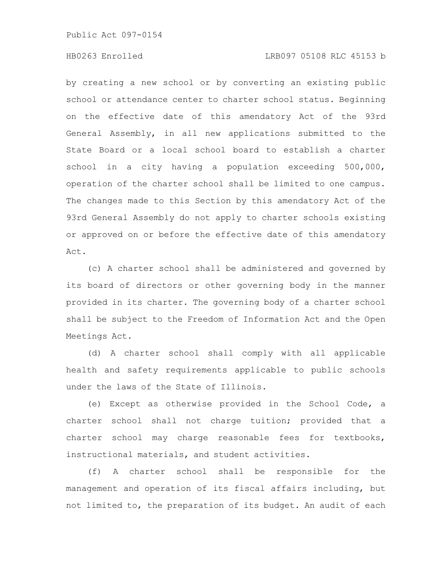# HB0263 Enrolled LRB097 05108 RLC 45153 b

by creating a new school or by converting an existing public school or attendance center to charter school status. Beginning on the effective date of this amendatory Act of the 93rd General Assembly, in all new applications submitted to the State Board or a local school board to establish a charter school in a city having a population exceeding 500,000, operation of the charter school shall be limited to one campus. The changes made to this Section by this amendatory Act of the 93rd General Assembly do not apply to charter schools existing or approved on or before the effective date of this amendatory Act.

(c) A charter school shall be administered and governed by its board of directors or other governing body in the manner provided in its charter. The governing body of a charter school shall be subject to the Freedom of Information Act and the Open Meetings Act.

(d) A charter school shall comply with all applicable health and safety requirements applicable to public schools under the laws of the State of Illinois.

(e) Except as otherwise provided in the School Code, a charter school shall not charge tuition; provided that a charter school may charge reasonable fees for textbooks, instructional materials, and student activities.

(f) A charter school shall be responsible for the management and operation of its fiscal affairs including, but not limited to, the preparation of its budget. An audit of each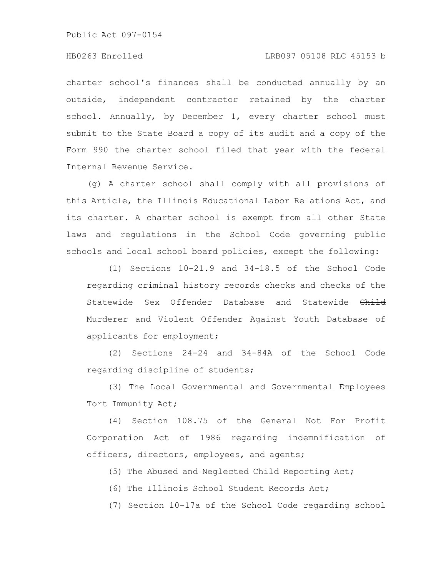# HB0263 Enrolled LRB097 05108 RLC 45153 b

charter school's finances shall be conducted annually by an outside, independent contractor retained by the charter school. Annually, by December 1, every charter school must submit to the State Board a copy of its audit and a copy of the Form 990 the charter school filed that year with the federal Internal Revenue Service.

(g) A charter school shall comply with all provisions of this Article, the Illinois Educational Labor Relations Act, and its charter. A charter school is exempt from all other State laws and regulations in the School Code governing public schools and local school board policies, except the following:

(1) Sections 10-21.9 and 34-18.5 of the School Code regarding criminal history records checks and checks of the Statewide Sex Offender Database and Statewide Child Murderer and Violent Offender Against Youth Database of applicants for employment;

(2) Sections 24-24 and 34-84A of the School Code regarding discipline of students;

(3) The Local Governmental and Governmental Employees Tort Immunity Act;

(4) Section 108.75 of the General Not For Profit Corporation Act of 1986 regarding indemnification of officers, directors, employees, and agents;

(5) The Abused and Neglected Child Reporting Act;

(6) The Illinois School Student Records Act;

(7) Section 10-17a of the School Code regarding school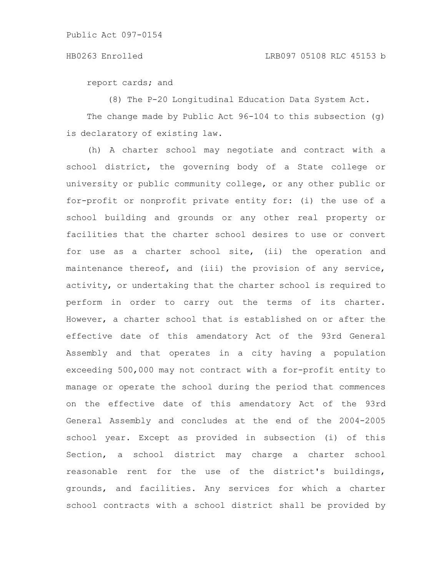report cards; and

(8) The P-20 Longitudinal Education Data System Act.

The change made by Public Act 96-104 to this subsection (g) is declaratory of existing law.

(h) A charter school may negotiate and contract with a school district, the governing body of a State college or university or public community college, or any other public or for-profit or nonprofit private entity for: (i) the use of a school building and grounds or any other real property or facilities that the charter school desires to use or convert for use as a charter school site, (ii) the operation and maintenance thereof, and (iii) the provision of any service, activity, or undertaking that the charter school is required to perform in order to carry out the terms of its charter. However, a charter school that is established on or after the effective date of this amendatory Act of the 93rd General Assembly and that operates in a city having a population exceeding 500,000 may not contract with a for-profit entity to manage or operate the school during the period that commences on the effective date of this amendatory Act of the 93rd General Assembly and concludes at the end of the 2004-2005 school year. Except as provided in subsection (i) of this Section, a school district may charge a charter school reasonable rent for the use of the district's buildings, grounds, and facilities. Any services for which a charter school contracts with a school district shall be provided by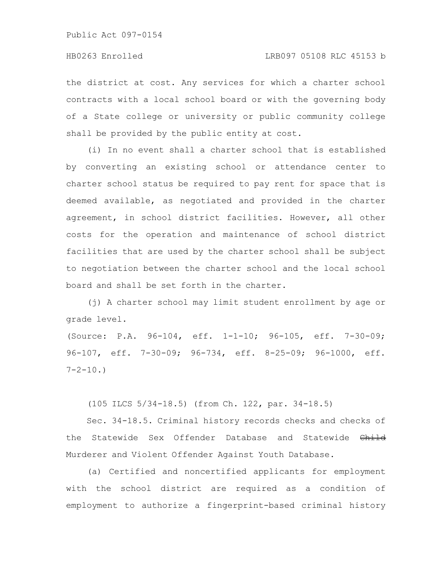the district at cost. Any services for which a charter school contracts with a local school board or with the governing body of a State college or university or public community college shall be provided by the public entity at cost.

(i) In no event shall a charter school that is established by converting an existing school or attendance center to charter school status be required to pay rent for space that is deemed available, as negotiated and provided in the charter agreement, in school district facilities. However, all other costs for the operation and maintenance of school district facilities that are used by the charter school shall be subject to negotiation between the charter school and the local school board and shall be set forth in the charter.

(j) A charter school may limit student enrollment by age or grade level.

(Source: P.A. 96-104, eff. 1-1-10; 96-105, eff. 7-30-09; 96-107, eff. 7-30-09; 96-734, eff. 8-25-09; 96-1000, eff.  $7 - 2 - 10.$ 

(105 ILCS 5/34-18.5) (from Ch. 122, par. 34-18.5)

Sec. 34-18.5. Criminal history records checks and checks of the Statewide Sex Offender Database and Statewide Child Murderer and Violent Offender Against Youth Database.

(a) Certified and noncertified applicants for employment with the school district are required as a condition of employment to authorize a fingerprint-based criminal history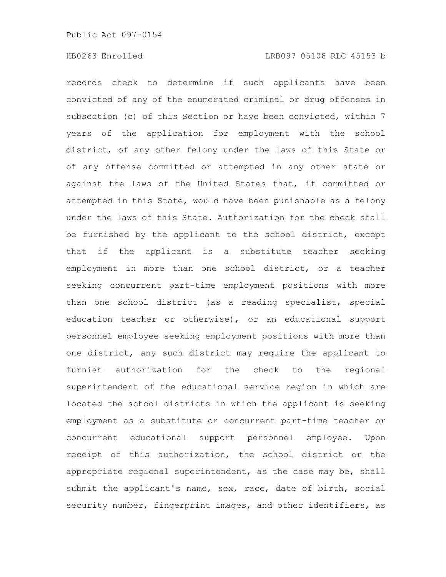records check to determine if such applicants have been convicted of any of the enumerated criminal or drug offenses in subsection (c) of this Section or have been convicted, within 7 years of the application for employment with the school district, of any other felony under the laws of this State or of any offense committed or attempted in any other state or against the laws of the United States that, if committed or attempted in this State, would have been punishable as a felony under the laws of this State. Authorization for the check shall be furnished by the applicant to the school district, except that if the applicant is a substitute teacher seeking employment in more than one school district, or a teacher seeking concurrent part-time employment positions with more than one school district (as a reading specialist, special education teacher or otherwise), or an educational support personnel employee seeking employment positions with more than one district, any such district may require the applicant to furnish authorization for the check to the regional superintendent of the educational service region in which are located the school districts in which the applicant is seeking employment as a substitute or concurrent part-time teacher or concurrent educational support personnel employee. Upon receipt of this authorization, the school district or the appropriate regional superintendent, as the case may be, shall submit the applicant's name, sex, race, date of birth, social security number, fingerprint images, and other identifiers, as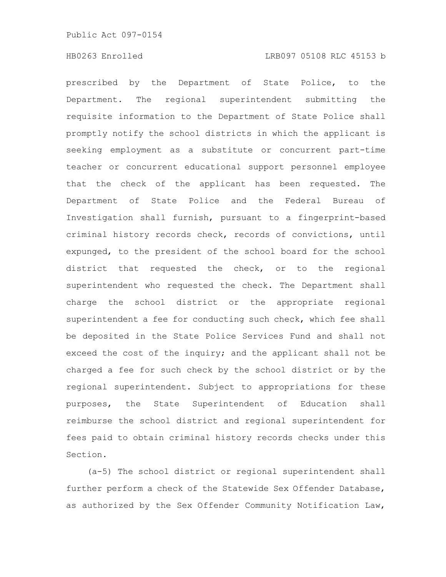prescribed by the Department of State Police, to the Department. The regional superintendent submitting the requisite information to the Department of State Police shall promptly notify the school districts in which the applicant is seeking employment as a substitute or concurrent part-time teacher or concurrent educational support personnel employee that the check of the applicant has been requested. The Department of State Police and the Federal Bureau of Investigation shall furnish, pursuant to a fingerprint-based criminal history records check, records of convictions, until expunged, to the president of the school board for the school district that requested the check, or to the regional superintendent who requested the check. The Department shall charge the school district or the appropriate regional superintendent a fee for conducting such check, which fee shall be deposited in the State Police Services Fund and shall not exceed the cost of the inquiry; and the applicant shall not be charged a fee for such check by the school district or by the regional superintendent. Subject to appropriations for these purposes, the State Superintendent of Education shall reimburse the school district and regional superintendent for fees paid to obtain criminal history records checks under this Section.

(a-5) The school district or regional superintendent shall further perform a check of the Statewide Sex Offender Database, as authorized by the Sex Offender Community Notification Law,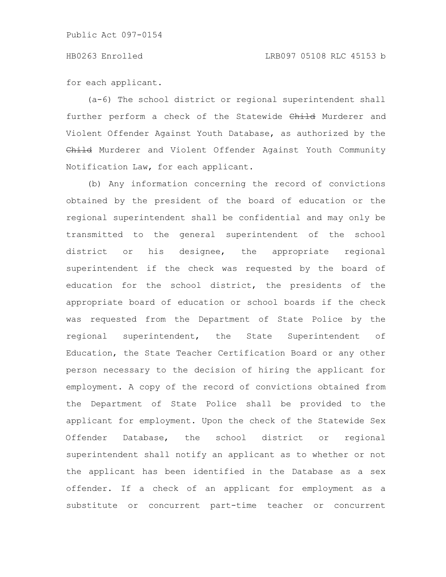for each applicant.

(a-6) The school district or regional superintendent shall further perform a check of the Statewide Child Murderer and Violent Offender Against Youth Database, as authorized by the Child Murderer and Violent Offender Against Youth Community Notification Law, for each applicant.

(b) Any information concerning the record of convictions obtained by the president of the board of education or the regional superintendent shall be confidential and may only be transmitted to the general superintendent of the school district or his designee, the appropriate regional superintendent if the check was requested by the board of education for the school district, the presidents of the appropriate board of education or school boards if the check was requested from the Department of State Police by the regional superintendent, the State Superintendent of Education, the State Teacher Certification Board or any other person necessary to the decision of hiring the applicant for employment. A copy of the record of convictions obtained from the Department of State Police shall be provided to the applicant for employment. Upon the check of the Statewide Sex Offender Database, the school district or regional superintendent shall notify an applicant as to whether or not the applicant has been identified in the Database as a sex offender. If a check of an applicant for employment as a substitute or concurrent part-time teacher or concurrent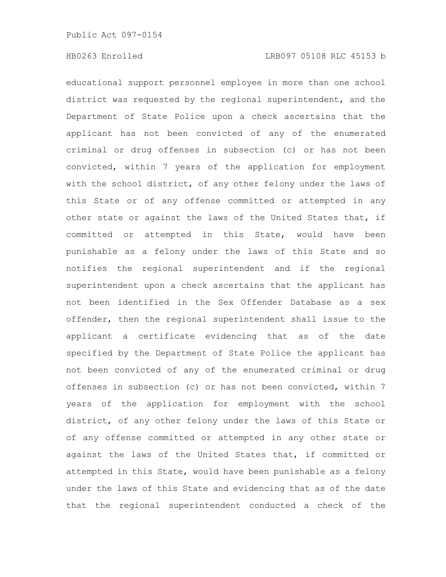educational support personnel employee in more than one school district was requested by the regional superintendent, and the Department of State Police upon a check ascertains that the applicant has not been convicted of any of the enumerated criminal or drug offenses in subsection (c) or has not been convicted, within 7 years of the application for employment with the school district, of any other felony under the laws of this State or of any offense committed or attempted in any other state or against the laws of the United States that, if committed or attempted in this State, would have been punishable as a felony under the laws of this State and so notifies the regional superintendent and if the regional superintendent upon a check ascertains that the applicant has not been identified in the Sex Offender Database as a sex offender, then the regional superintendent shall issue to the applicant a certificate evidencing that as of the date specified by the Department of State Police the applicant has not been convicted of any of the enumerated criminal or drug offenses in subsection (c) or has not been convicted, within 7 years of the application for employment with the school district, of any other felony under the laws of this State or of any offense committed or attempted in any other state or against the laws of the United States that, if committed or attempted in this State, would have been punishable as a felony under the laws of this State and evidencing that as of the date that the regional superintendent conducted a check of the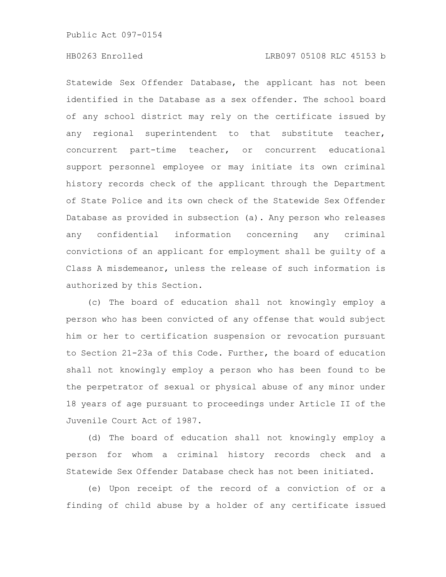Statewide Sex Offender Database, the applicant has not been identified in the Database as a sex offender. The school board of any school district may rely on the certificate issued by any regional superintendent to that substitute teacher, concurrent part-time teacher, or concurrent educational support personnel employee or may initiate its own criminal history records check of the applicant through the Department of State Police and its own check of the Statewide Sex Offender Database as provided in subsection (a). Any person who releases any confidential information concerning any criminal convictions of an applicant for employment shall be guilty of a Class A misdemeanor, unless the release of such information is authorized by this Section.

(c) The board of education shall not knowingly employ a person who has been convicted of any offense that would subject him or her to certification suspension or revocation pursuant to Section 21-23a of this Code. Further, the board of education shall not knowingly employ a person who has been found to be the perpetrator of sexual or physical abuse of any minor under 18 years of age pursuant to proceedings under Article II of the Juvenile Court Act of 1987.

(d) The board of education shall not knowingly employ a person for whom a criminal history records check and a Statewide Sex Offender Database check has not been initiated.

(e) Upon receipt of the record of a conviction of or a finding of child abuse by a holder of any certificate issued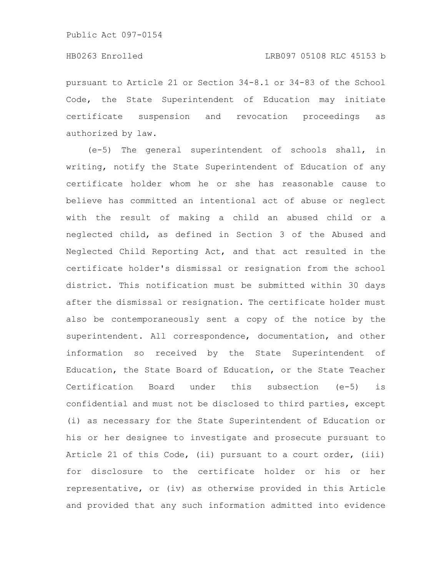pursuant to Article 21 or Section 34-8.1 or 34-83 of the School Code, the State Superintendent of Education may initiate certificate suspension and revocation proceedings as authorized by law.

(e-5) The general superintendent of schools shall, in writing, notify the State Superintendent of Education of any certificate holder whom he or she has reasonable cause to believe has committed an intentional act of abuse or neglect with the result of making a child an abused child or a neglected child, as defined in Section 3 of the Abused and Neglected Child Reporting Act, and that act resulted in the certificate holder's dismissal or resignation from the school district. This notification must be submitted within 30 days after the dismissal or resignation. The certificate holder must also be contemporaneously sent a copy of the notice by the superintendent. All correspondence, documentation, and other information so received by the State Superintendent of Education, the State Board of Education, or the State Teacher Certification Board under this subsection (e-5) is confidential and must not be disclosed to third parties, except (i) as necessary for the State Superintendent of Education or his or her designee to investigate and prosecute pursuant to Article 21 of this Code, (ii) pursuant to a court order, (iii) for disclosure to the certificate holder or his or her representative, or (iv) as otherwise provided in this Article and provided that any such information admitted into evidence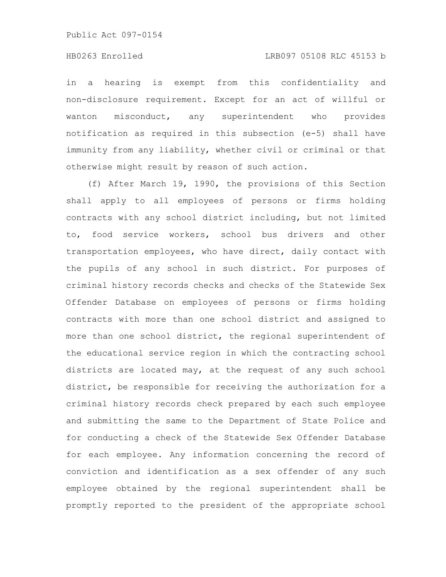in a hearing is exempt from this confidentiality and non-disclosure requirement. Except for an act of willful or wanton misconduct, any superintendent who provides notification as required in this subsection (e-5) shall have immunity from any liability, whether civil or criminal or that otherwise might result by reason of such action.

(f) After March 19, 1990, the provisions of this Section shall apply to all employees of persons or firms holding contracts with any school district including, but not limited to, food service workers, school bus drivers and other transportation employees, who have direct, daily contact with the pupils of any school in such district. For purposes of criminal history records checks and checks of the Statewide Sex Offender Database on employees of persons or firms holding contracts with more than one school district and assigned to more than one school district, the regional superintendent of the educational service region in which the contracting school districts are located may, at the request of any such school district, be responsible for receiving the authorization for a criminal history records check prepared by each such employee and submitting the same to the Department of State Police and for conducting a check of the Statewide Sex Offender Database for each employee. Any information concerning the record of conviction and identification as a sex offender of any such employee obtained by the regional superintendent shall be promptly reported to the president of the appropriate school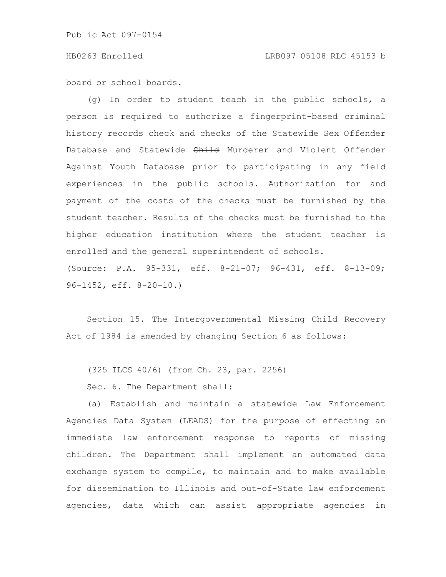board or school boards.

(g) In order to student teach in the public schools, a person is required to authorize a fingerprint-based criminal history records check and checks of the Statewide Sex Offender Database and Statewide Child Murderer and Violent Offender Against Youth Database prior to participating in any field experiences in the public schools. Authorization for and payment of the costs of the checks must be furnished by the student teacher. Results of the checks must be furnished to the higher education institution where the student teacher is enrolled and the general superintendent of schools. (Source: P.A. 95-331, eff. 8-21-07; 96-431, eff. 8-13-09; 96-1452, eff. 8-20-10.)

Section 15. The Intergovernmental Missing Child Recovery Act of 1984 is amended by changing Section 6 as follows:

(325 ILCS 40/6) (from Ch. 23, par. 2256)

Sec. 6. The Department shall:

(a) Establish and maintain a statewide Law Enforcement Agencies Data System (LEADS) for the purpose of effecting an immediate law enforcement response to reports of missing children. The Department shall implement an automated data exchange system to compile, to maintain and to make available for dissemination to Illinois and out-of-State law enforcement agencies, data which can assist appropriate agencies in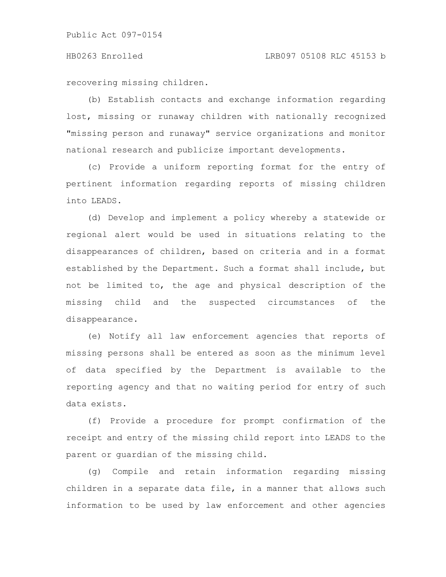recovering missing children.

(b) Establish contacts and exchange information regarding lost, missing or runaway children with nationally recognized "missing person and runaway" service organizations and monitor national research and publicize important developments.

(c) Provide a uniform reporting format for the entry of pertinent information regarding reports of missing children into LEADS.

(d) Develop and implement a policy whereby a statewide or regional alert would be used in situations relating to the disappearances of children, based on criteria and in a format established by the Department. Such a format shall include, but not be limited to, the age and physical description of the missing child and the suspected circumstances of the disappearance.

(e) Notify all law enforcement agencies that reports of missing persons shall be entered as soon as the minimum level of data specified by the Department is available to the reporting agency and that no waiting period for entry of such data exists.

(f) Provide a procedure for prompt confirmation of the receipt and entry of the missing child report into LEADS to the parent or guardian of the missing child.

(g) Compile and retain information regarding missing children in a separate data file, in a manner that allows such information to be used by law enforcement and other agencies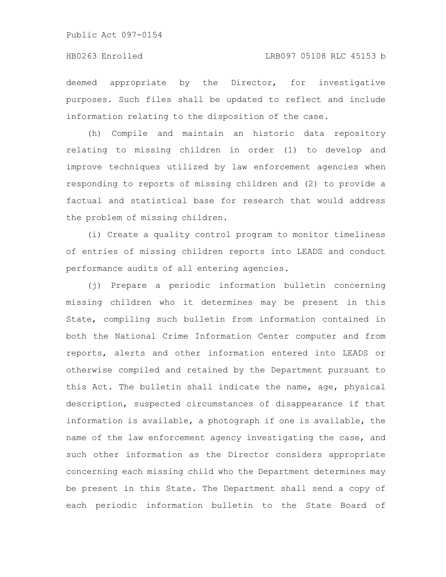deemed appropriate by the Director, for investigative purposes. Such files shall be updated to reflect and include information relating to the disposition of the case.

(h) Compile and maintain an historic data repository relating to missing children in order (1) to develop and improve techniques utilized by law enforcement agencies when responding to reports of missing children and (2) to provide a factual and statistical base for research that would address the problem of missing children.

(i) Create a quality control program to monitor timeliness of entries of missing children reports into LEADS and conduct performance audits of all entering agencies.

(j) Prepare a periodic information bulletin concerning missing children who it determines may be present in this State, compiling such bulletin from information contained in both the National Crime Information Center computer and from reports, alerts and other information entered into LEADS or otherwise compiled and retained by the Department pursuant to this Act. The bulletin shall indicate the name, age, physical description, suspected circumstances of disappearance if that information is available, a photograph if one is available, the name of the law enforcement agency investigating the case, and such other information as the Director considers appropriate concerning each missing child who the Department determines may be present in this State. The Department shall send a copy of each periodic information bulletin to the State Board of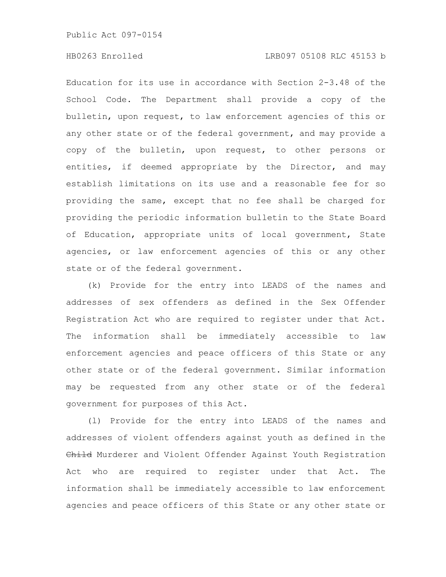### HB0263 Enrolled LRB097 05108 RLC 45153 b

Education for its use in accordance with Section 2-3.48 of the School Code. The Department shall provide a copy of the bulletin, upon request, to law enforcement agencies of this or any other state or of the federal government, and may provide a copy of the bulletin, upon request, to other persons or entities, if deemed appropriate by the Director, and may establish limitations on its use and a reasonable fee for so providing the same, except that no fee shall be charged for providing the periodic information bulletin to the State Board of Education, appropriate units of local government, State agencies, or law enforcement agencies of this or any other state or of the federal government.

(k) Provide for the entry into LEADS of the names and addresses of sex offenders as defined in the Sex Offender Registration Act who are required to register under that Act. The information shall be immediately accessible to law enforcement agencies and peace officers of this State or any other state or of the federal government. Similar information may be requested from any other state or of the federal government for purposes of this Act.

(l) Provide for the entry into LEADS of the names and addresses of violent offenders against youth as defined in the Child Murderer and Violent Offender Against Youth Registration Act who are required to register under that Act. The information shall be immediately accessible to law enforcement agencies and peace officers of this State or any other state or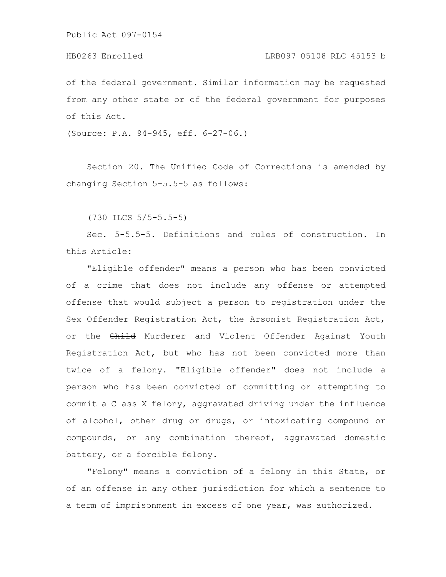of the federal government. Similar information may be requested from any other state or of the federal government for purposes of this Act.

(Source: P.A. 94-945, eff. 6-27-06.)

Section 20. The Unified Code of Corrections is amended by changing Section 5-5.5-5 as follows:

(730 ILCS 5/5-5.5-5)

Sec. 5-5.5-5. Definitions and rules of construction. In this Article:

"Eligible offender" means a person who has been convicted of a crime that does not include any offense or attempted offense that would subject a person to registration under the Sex Offender Registration Act, the Arsonist Registration Act, or the Child Murderer and Violent Offender Against Youth Registration Act, but who has not been convicted more than twice of a felony. "Eligible offender" does not include a person who has been convicted of committing or attempting to commit a Class X felony, aggravated driving under the influence of alcohol, other drug or drugs, or intoxicating compound or compounds, or any combination thereof, aggravated domestic battery, or a forcible felony.

"Felony" means a conviction of a felony in this State, or of an offense in any other jurisdiction for which a sentence to a term of imprisonment in excess of one year, was authorized.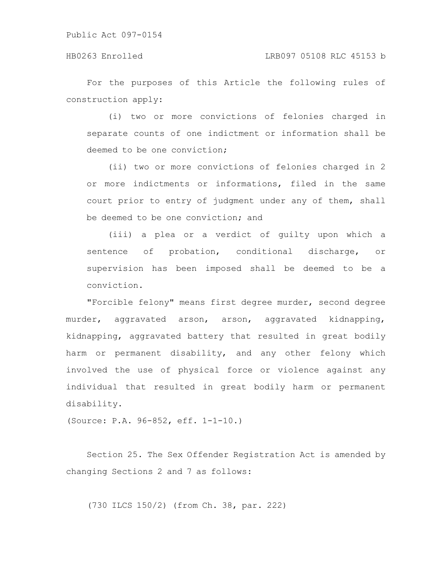For the purposes of this Article the following rules of construction apply:

(i) two or more convictions of felonies charged in separate counts of one indictment or information shall be deemed to be one conviction;

(ii) two or more convictions of felonies charged in 2 or more indictments or informations, filed in the same court prior to entry of judgment under any of them, shall be deemed to be one conviction; and

(iii) a plea or a verdict of guilty upon which a sentence of probation, conditional discharge, or supervision has been imposed shall be deemed to be a conviction.

"Forcible felony" means first degree murder, second degree murder, aggravated arson, arson, aggravated kidnapping, kidnapping, aggravated battery that resulted in great bodily harm or permanent disability, and any other felony which involved the use of physical force or violence against any individual that resulted in great bodily harm or permanent disability.

(Source: P.A. 96-852, eff. 1-1-10.)

Section 25. The Sex Offender Registration Act is amended by changing Sections 2 and 7 as follows:

(730 ILCS 150/2) (from Ch. 38, par. 222)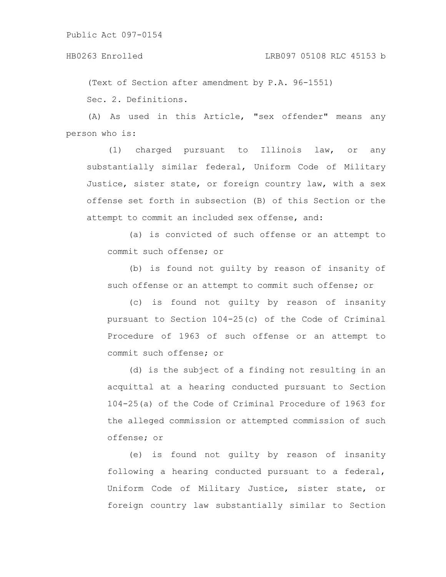(Text of Section after amendment by P.A. 96-1551) Sec. 2. Definitions.

(A) As used in this Article, "sex offender" means any person who is:

(1) charged pursuant to Illinois law, or any substantially similar federal, Uniform Code of Military Justice, sister state, or foreign country law, with a sex offense set forth in subsection (B) of this Section or the attempt to commit an included sex offense, and:

(a) is convicted of such offense or an attempt to commit such offense; or

(b) is found not guilty by reason of insanity of such offense or an attempt to commit such offense; or

(c) is found not guilty by reason of insanity pursuant to Section 104-25(c) of the Code of Criminal Procedure of 1963 of such offense or an attempt to commit such offense; or

(d) is the subject of a finding not resulting in an acquittal at a hearing conducted pursuant to Section 104-25(a) of the Code of Criminal Procedure of 1963 for the alleged commission or attempted commission of such offense; or

(e) is found not guilty by reason of insanity following a hearing conducted pursuant to a federal, Uniform Code of Military Justice, sister state, or foreign country law substantially similar to Section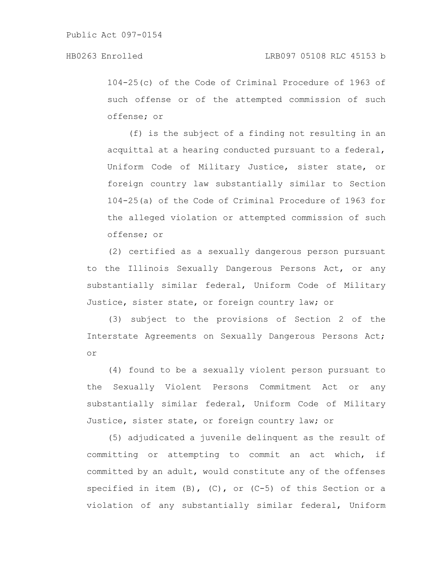104-25(c) of the Code of Criminal Procedure of 1963 of such offense or of the attempted commission of such offense; or

(f) is the subject of a finding not resulting in an acquittal at a hearing conducted pursuant to a federal, Uniform Code of Military Justice, sister state, or foreign country law substantially similar to Section 104-25(a) of the Code of Criminal Procedure of 1963 for the alleged violation or attempted commission of such offense; or

(2) certified as a sexually dangerous person pursuant to the Illinois Sexually Dangerous Persons Act, or any substantially similar federal, Uniform Code of Military Justice, sister state, or foreign country law; or

(3) subject to the provisions of Section 2 of the Interstate Agreements on Sexually Dangerous Persons Act; or

(4) found to be a sexually violent person pursuant to the Sexually Violent Persons Commitment Act or any substantially similar federal, Uniform Code of Military Justice, sister state, or foreign country law; or

(5) adjudicated a juvenile delinquent as the result of committing or attempting to commit an act which, if committed by an adult, would constitute any of the offenses specified in item  $(B)$ ,  $(C)$ , or  $(C-5)$  of this Section or a violation of any substantially similar federal, Uniform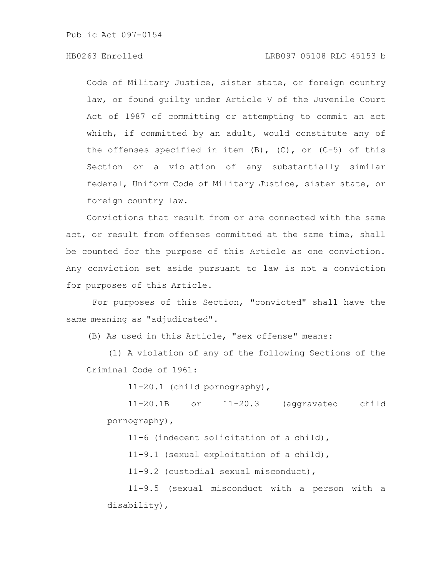# HB0263 Enrolled LRB097 05108 RLC 45153 b

Code of Military Justice, sister state, or foreign country law, or found guilty under Article V of the Juvenile Court Act of 1987 of committing or attempting to commit an act which, if committed by an adult, would constitute any of the offenses specified in item  $(B)$ ,  $(C)$ , or  $(C-5)$  of this Section or a violation of any substantially similar federal, Uniform Code of Military Justice, sister state, or foreign country law.

Convictions that result from or are connected with the same act, or result from offenses committed at the same time, shall be counted for the purpose of this Article as one conviction. Any conviction set aside pursuant to law is not a conviction for purposes of this Article.

For purposes of this Section, "convicted" shall have the same meaning as "adjudicated".

(B) As used in this Article, "sex offense" means:

(1) A violation of any of the following Sections of the Criminal Code of 1961:

11-20.1 (child pornography),

11-20.1B or 11-20.3 (aggravated child pornography),

11-6 (indecent solicitation of a child),

11-9.1 (sexual exploitation of a child),

11-9.2 (custodial sexual misconduct),

11-9.5 (sexual misconduct with a person with a disability),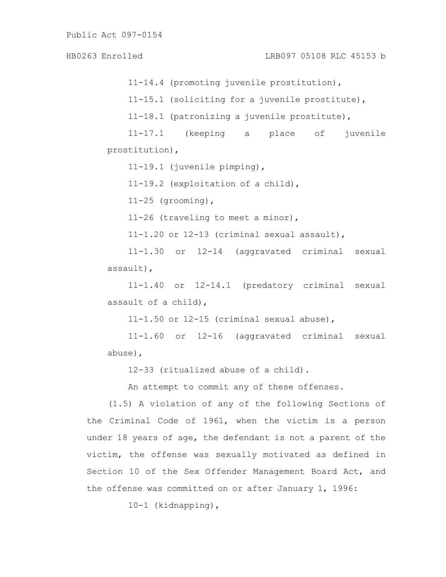11-14.4 (promoting juvenile prostitution), 11-15.1 (soliciting for a juvenile prostitute), 11-18.1 (patronizing a juvenile prostitute), 11-17.1 (keeping a place of juvenile prostitution), 11-19.1 (juvenile pimping), 11-19.2 (exploitation of a child),  $11-25$  (grooming), 11-26 (traveling to meet a minor), 11-1.20 or 12-13 (criminal sexual assault), 11-1.30 or 12-14 (aggravated criminal sexual assault), 11-1.40 or 12-14.1 (predatory criminal sexual HB0263 Enrolled LRB097 05108 RLC 45153 b

assault of a child),

11-1.50 or 12-15 (criminal sexual abuse),

11-1.60 or 12-16 (aggravated criminal sexual abuse),

12-33 (ritualized abuse of a child).

An attempt to commit any of these offenses.

(1.5) A violation of any of the following Sections of the Criminal Code of 1961, when the victim is a person under 18 years of age, the defendant is not a parent of the victim, the offense was sexually motivated as defined in Section 10 of the Sex Offender Management Board Act, and the offense was committed on or after January 1, 1996:

10-1 (kidnapping),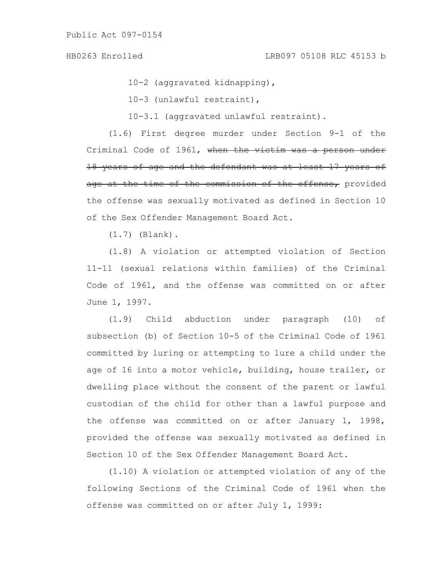10-2 (aggravated kidnapping),

10-3 (unlawful restraint),

10-3.1 (aggravated unlawful restraint).

(1.6) First degree murder under Section 9-1 of the Criminal Code of 1961, when the victim was a person under 18 years of age and the defendant was at least 17 years of age at the time of the commission of the offense, provided the offense was sexually motivated as defined in Section 10 of the Sex Offender Management Board Act.

(1.7) (Blank).

(1.8) A violation or attempted violation of Section 11-11 (sexual relations within families) of the Criminal Code of 1961, and the offense was committed on or after June 1, 1997.

(1.9) Child abduction under paragraph (10) of subsection (b) of Section 10-5 of the Criminal Code of 1961 committed by luring or attempting to lure a child under the age of 16 into a motor vehicle, building, house trailer, or dwelling place without the consent of the parent or lawful custodian of the child for other than a lawful purpose and the offense was committed on or after January 1, 1998, provided the offense was sexually motivated as defined in Section 10 of the Sex Offender Management Board Act.

(1.10) A violation or attempted violation of any of the following Sections of the Criminal Code of 1961 when the offense was committed on or after July 1, 1999: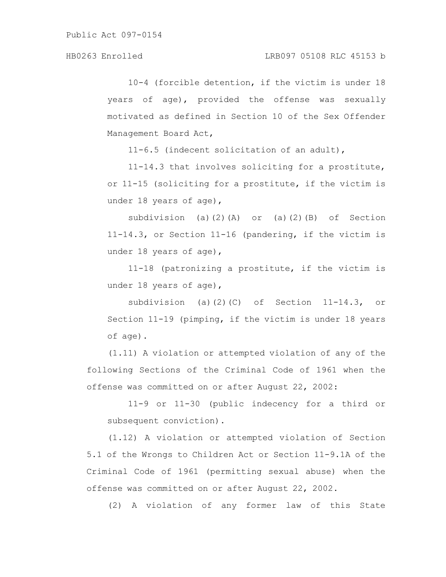10-4 (forcible detention, if the victim is under 18 years of age), provided the offense was sexually motivated as defined in Section 10 of the Sex Offender Management Board Act,

11-6.5 (indecent solicitation of an adult),

11-14.3 that involves soliciting for a prostitute, or 11-15 (soliciting for a prostitute, if the victim is under 18 years of age),

subdivision (a)(2)(A) or (a)(2)(B) of Section 11-14.3, or Section 11-16 (pandering, if the victim is under 18 years of age),

11-18 (patronizing a prostitute, if the victim is under 18 years of age),

subdivision (a)(2)(C) of Section 11-14.3, or Section 11-19 (pimping, if the victim is under 18 years of age).

(1.11) A violation or attempted violation of any of the following Sections of the Criminal Code of 1961 when the offense was committed on or after August 22, 2002:

11-9 or 11-30 (public indecency for a third or subsequent conviction).

(1.12) A violation or attempted violation of Section 5.1 of the Wrongs to Children Act or Section 11-9.1A of the Criminal Code of 1961 (permitting sexual abuse) when the offense was committed on or after August 22, 2002.

(2) A violation of any former law of this State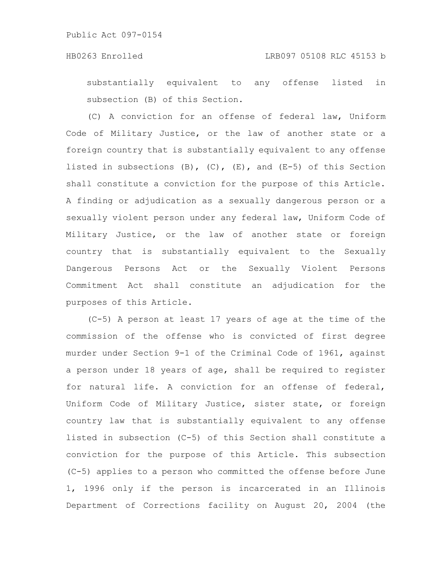substantially equivalent to any offense listed in subsection (B) of this Section.

(C) A conviction for an offense of federal law, Uniform Code of Military Justice, or the law of another state or a foreign country that is substantially equivalent to any offense listed in subsections  $(B)$ ,  $(C)$ ,  $(E)$ , and  $(E-5)$  of this Section shall constitute a conviction for the purpose of this Article. A finding or adjudication as a sexually dangerous person or a sexually violent person under any federal law, Uniform Code of Military Justice, or the law of another state or foreign country that is substantially equivalent to the Sexually Dangerous Persons Act or the Sexually Violent Persons Commitment Act shall constitute an adjudication for the purposes of this Article.

(C-5) A person at least 17 years of age at the time of the commission of the offense who is convicted of first degree murder under Section 9-1 of the Criminal Code of 1961, against a person under 18 years of age, shall be required to register for natural life. A conviction for an offense of federal, Uniform Code of Military Justice, sister state, or foreign country law that is substantially equivalent to any offense listed in subsection (C-5) of this Section shall constitute a conviction for the purpose of this Article. This subsection (C-5) applies to a person who committed the offense before June 1, 1996 only if the person is incarcerated in an Illinois Department of Corrections facility on August 20, 2004 (the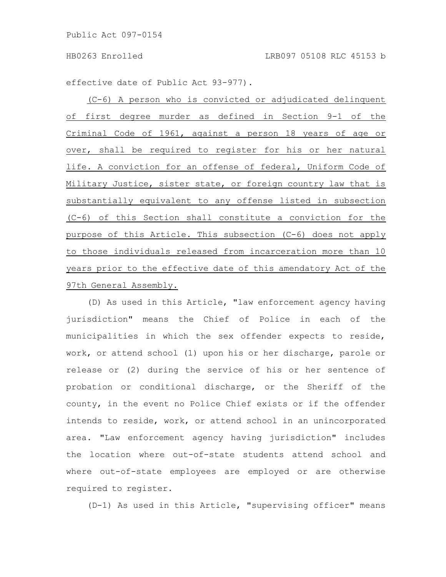effective date of Public Act 93-977).

(C-6) A person who is convicted or adjudicated delinquent of first degree murder as defined in Section 9-1 of the Criminal Code of 1961, against a person 18 years of age or over, shall be required to register for his or her natural life. A conviction for an offense of federal, Uniform Code of Military Justice, sister state, or foreign country law that is substantially equivalent to any offense listed in subsection (C-6) of this Section shall constitute a conviction for the purpose of this Article. This subsection (C-6) does not apply to those individuals released from incarceration more than 10 years prior to the effective date of this amendatory Act of the 97th General Assembly.

(D) As used in this Article, "law enforcement agency having jurisdiction" means the Chief of Police in each of the municipalities in which the sex offender expects to reside, work, or attend school (1) upon his or her discharge, parole or release or (2) during the service of his or her sentence of probation or conditional discharge, or the Sheriff of the county, in the event no Police Chief exists or if the offender intends to reside, work, or attend school in an unincorporated area. "Law enforcement agency having jurisdiction" includes the location where out-of-state students attend school and where out-of-state employees are employed or are otherwise required to register.

(D-1) As used in this Article, "supervising officer" means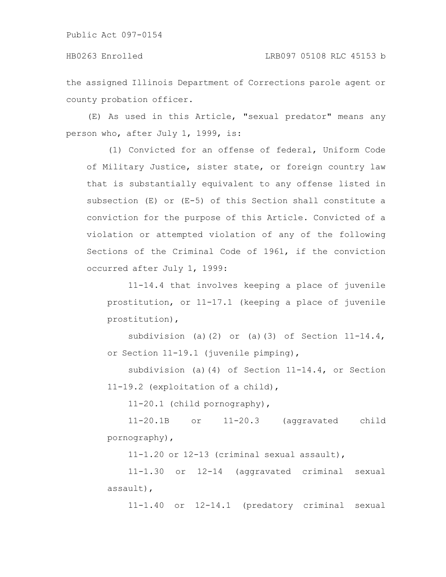the assigned Illinois Department of Corrections parole agent or county probation officer.

(E) As used in this Article, "sexual predator" means any person who, after July 1, 1999, is:

(1) Convicted for an offense of federal, Uniform Code of Military Justice, sister state, or foreign country law that is substantially equivalent to any offense listed in subsection (E) or (E-5) of this Section shall constitute a conviction for the purpose of this Article. Convicted of a violation or attempted violation of any of the following Sections of the Criminal Code of 1961, if the conviction occurred after July 1, 1999:

11-14.4 that involves keeping a place of juvenile prostitution, or 11-17.1 (keeping a place of juvenile prostitution),

subdivision (a)(2) or (a)(3) of Section  $11-14.4$ , or Section 11-19.1 (juvenile pimping),

subdivision (a)(4) of Section 11-14.4, or Section 11-19.2 (exploitation of a child),

11-20.1 (child pornography),

11-20.1B or 11-20.3 (aggravated child pornography),

11-1.20 or 12-13 (criminal sexual assault),

11-1.30 or 12-14 (aggravated criminal sexual assault),

11-1.40 or 12-14.1 (predatory criminal sexual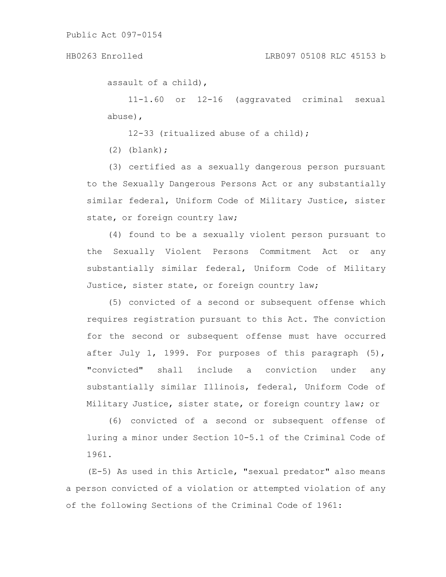assault of a child),

11-1.60 or 12-16 (aggravated criminal sexual abuse),

12-33 (ritualized abuse of a child);

 $(2)$  (blank);

(3) certified as a sexually dangerous person pursuant to the Sexually Dangerous Persons Act or any substantially similar federal, Uniform Code of Military Justice, sister state, or foreign country law;

(4) found to be a sexually violent person pursuant to the Sexually Violent Persons Commitment Act or any substantially similar federal, Uniform Code of Military Justice, sister state, or foreign country law;

(5) convicted of a second or subsequent offense which requires registration pursuant to this Act. The conviction for the second or subsequent offense must have occurred after July 1, 1999. For purposes of this paragraph (5), "convicted" shall include a conviction under any substantially similar Illinois, federal, Uniform Code of Military Justice, sister state, or foreign country law; or

(6) convicted of a second or subsequent offense of luring a minor under Section 10-5.1 of the Criminal Code of 1961.

(E-5) As used in this Article, "sexual predator" also means a person convicted of a violation or attempted violation of any of the following Sections of the Criminal Code of 1961: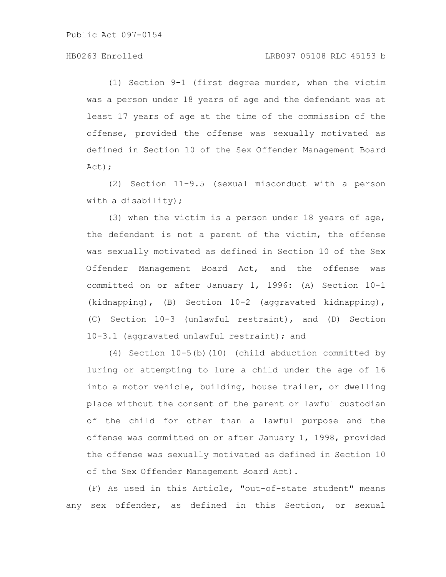# HB0263 Enrolled LRB097 05108 RLC 45153 b

(1) Section 9-1 (first degree murder, when the victim was a person under 18 years of age and the defendant was at least 17 years of age at the time of the commission of the offense, provided the offense was sexually motivated as defined in Section 10 of the Sex Offender Management Board Act);

(2) Section 11-9.5 (sexual misconduct with a person with a disability);

(3) when the victim is a person under 18 years of age, the defendant is not a parent of the victim, the offense was sexually motivated as defined in Section 10 of the Sex Offender Management Board Act, and the offense was committed on or after January 1, 1996: (A) Section 10-1 (kidnapping), (B) Section 10-2 (aggravated kidnapping), (C) Section 10-3 (unlawful restraint), and (D) Section 10-3.1 (aggravated unlawful restraint); and

(4) Section 10-5(b)(10) (child abduction committed by luring or attempting to lure a child under the age of 16 into a motor vehicle, building, house trailer, or dwelling place without the consent of the parent or lawful custodian of the child for other than a lawful purpose and the offense was committed on or after January 1, 1998, provided the offense was sexually motivated as defined in Section 10 of the Sex Offender Management Board Act).

(F) As used in this Article, "out-of-state student" means any sex offender, as defined in this Section, or sexual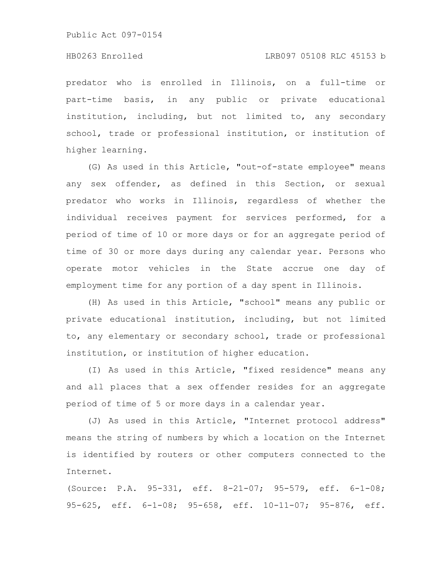# HB0263 Enrolled LRB097 05108 RLC 45153 b

predator who is enrolled in Illinois, on a full-time or part-time basis, in any public or private educational institution, including, but not limited to, any secondary school, trade or professional institution, or institution of higher learning.

(G) As used in this Article, "out-of-state employee" means any sex offender, as defined in this Section, or sexual predator who works in Illinois, regardless of whether the individual receives payment for services performed, for a period of time of 10 or more days or for an aggregate period of time of 30 or more days during any calendar year. Persons who operate motor vehicles in the State accrue one day of employment time for any portion of a day spent in Illinois.

(H) As used in this Article, "school" means any public or private educational institution, including, but not limited to, any elementary or secondary school, trade or professional institution, or institution of higher education.

(I) As used in this Article, "fixed residence" means any and all places that a sex offender resides for an aggregate period of time of 5 or more days in a calendar year.

(J) As used in this Article, "Internet protocol address" means the string of numbers by which a location on the Internet is identified by routers or other computers connected to the Internet.

(Source: P.A. 95-331, eff. 8-21-07; 95-579, eff. 6-1-08; 95-625, eff. 6-1-08; 95-658, eff. 10-11-07; 95-876, eff.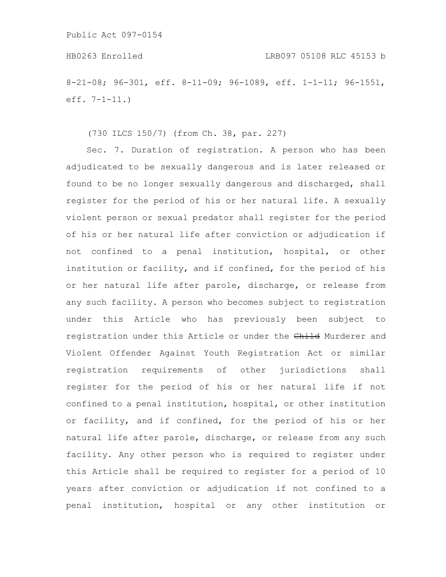8-21-08; 96-301, eff. 8-11-09; 96-1089, eff. 1-1-11; 96-1551, eff. 7-1-11.)

(730 ILCS 150/7) (from Ch. 38, par. 227)

Sec. 7. Duration of registration. A person who has been adjudicated to be sexually dangerous and is later released or found to be no longer sexually dangerous and discharged, shall register for the period of his or her natural life. A sexually violent person or sexual predator shall register for the period of his or her natural life after conviction or adjudication if not confined to a penal institution, hospital, or other institution or facility, and if confined, for the period of his or her natural life after parole, discharge, or release from any such facility. A person who becomes subject to registration under this Article who has previously been subject to registration under this Article or under the Child Murderer and Violent Offender Against Youth Registration Act or similar registration requirements of other jurisdictions shall register for the period of his or her natural life if not confined to a penal institution, hospital, or other institution or facility, and if confined, for the period of his or her natural life after parole, discharge, or release from any such facility. Any other person who is required to register under this Article shall be required to register for a period of 10 years after conviction or adjudication if not confined to a penal institution, hospital or any other institution or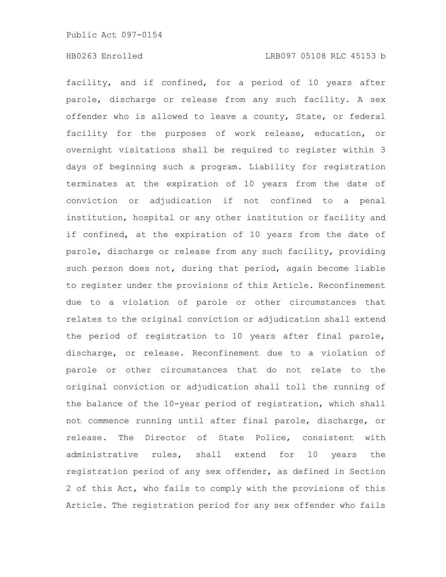facility, and if confined, for a period of 10 years after parole, discharge or release from any such facility. A sex offender who is allowed to leave a county, State, or federal facility for the purposes of work release, education, or overnight visitations shall be required to register within 3 days of beginning such a program. Liability for registration terminates at the expiration of 10 years from the date of conviction or adjudication if not confined to a penal institution, hospital or any other institution or facility and if confined, at the expiration of 10 years from the date of parole, discharge or release from any such facility, providing such person does not, during that period, again become liable to register under the provisions of this Article. Reconfinement due to a violation of parole or other circumstances that relates to the original conviction or adjudication shall extend the period of registration to 10 years after final parole, discharge, or release. Reconfinement due to a violation of parole or other circumstances that do not relate to the original conviction or adjudication shall toll the running of the balance of the 10-year period of registration, which shall not commence running until after final parole, discharge, or release. The Director of State Police, consistent with administrative rules, shall extend for 10 years the registration period of any sex offender, as defined in Section 2 of this Act, who fails to comply with the provisions of this Article. The registration period for any sex offender who fails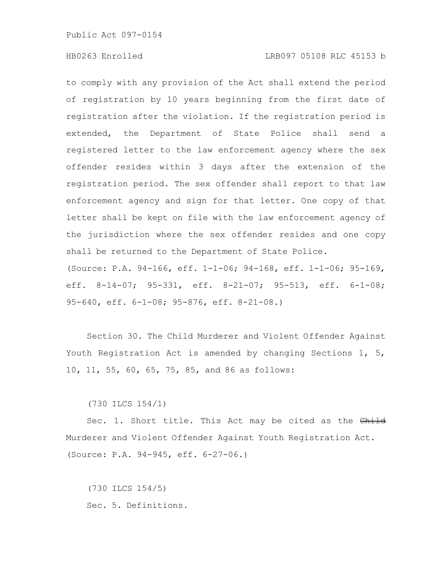# HB0263 Enrolled LRB097 05108 RLC 45153 b

to comply with any provision of the Act shall extend the period of registration by 10 years beginning from the first date of registration after the violation. If the registration period is extended, the Department of State Police shall send a registered letter to the law enforcement agency where the sex offender resides within 3 days after the extension of the registration period. The sex offender shall report to that law enforcement agency and sign for that letter. One copy of that letter shall be kept on file with the law enforcement agency of the jurisdiction where the sex offender resides and one copy shall be returned to the Department of State Police. (Source: P.A. 94-166, eff. 1-1-06; 94-168, eff. 1-1-06; 95-169, eff. 8-14-07; 95-331, eff. 8-21-07; 95-513, eff. 6-1-08; 95-640, eff. 6-1-08; 95-876, eff. 8-21-08.)

Section 30. The Child Murderer and Violent Offender Against Youth Registration Act is amended by changing Sections 1, 5, 10, 11, 55, 60, 65, 75, 85, and 86 as follows:

(730 ILCS 154/1)

Sec. 1. Short title. This Act may be cited as the Child Murderer and Violent Offender Against Youth Registration Act. (Source: P.A. 94-945, eff. 6-27-06.)

(730 ILCS 154/5) Sec. 5. Definitions.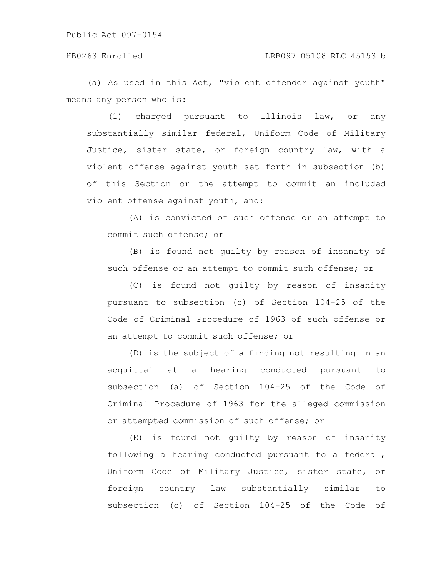(a) As used in this Act, "violent offender against youth" means any person who is:

(1) charged pursuant to Illinois law, or any substantially similar federal, Uniform Code of Military Justice, sister state, or foreign country law, with a violent offense against youth set forth in subsection (b) of this Section or the attempt to commit an included violent offense against youth, and:

(A) is convicted of such offense or an attempt to commit such offense; or

(B) is found not guilty by reason of insanity of such offense or an attempt to commit such offense; or

(C) is found not guilty by reason of insanity pursuant to subsection (c) of Section 104-25 of the Code of Criminal Procedure of 1963 of such offense or an attempt to commit such offense; or

(D) is the subject of a finding not resulting in an acquittal at a hearing conducted pursuant to subsection (a) of Section 104-25 of the Code of Criminal Procedure of 1963 for the alleged commission or attempted commission of such offense; or

(E) is found not guilty by reason of insanity following a hearing conducted pursuant to a federal, Uniform Code of Military Justice, sister state, or foreign country law substantially similar to subsection (c) of Section 104-25 of the Code of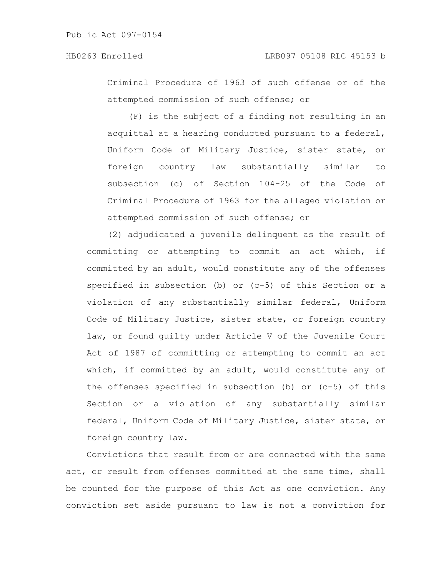Criminal Procedure of 1963 of such offense or of the attempted commission of such offense; or

(F) is the subject of a finding not resulting in an acquittal at a hearing conducted pursuant to a federal, Uniform Code of Military Justice, sister state, or foreign country law substantially similar to subsection (c) of Section 104-25 of the Code of Criminal Procedure of 1963 for the alleged violation or attempted commission of such offense; or

(2) adjudicated a juvenile delinquent as the result of committing or attempting to commit an act which, if committed by an adult, would constitute any of the offenses specified in subsection (b) or (c-5) of this Section or a violation of any substantially similar federal, Uniform Code of Military Justice, sister state, or foreign country law, or found guilty under Article V of the Juvenile Court Act of 1987 of committing or attempting to commit an act which, if committed by an adult, would constitute any of the offenses specified in subsection (b) or (c-5) of this Section or a violation of any substantially similar federal, Uniform Code of Military Justice, sister state, or foreign country law.

Convictions that result from or are connected with the same act, or result from offenses committed at the same time, shall be counted for the purpose of this Act as one conviction. Any conviction set aside pursuant to law is not a conviction for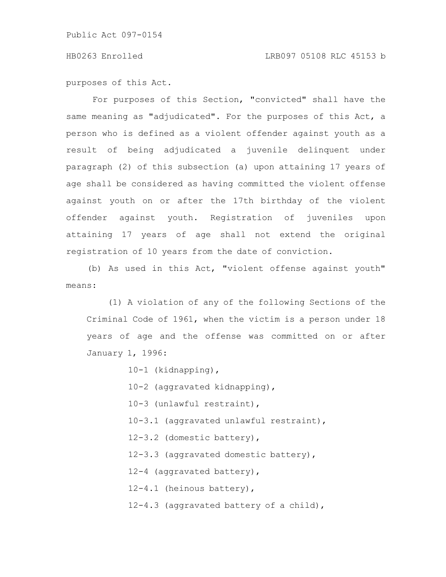purposes of this Act.

For purposes of this Section, "convicted" shall have the same meaning as "adjudicated". For the purposes of this Act, a person who is defined as a violent offender against youth as a result of being adjudicated a juvenile delinquent under paragraph (2) of this subsection (a) upon attaining 17 years of age shall be considered as having committed the violent offense against youth on or after the 17th birthday of the violent offender against youth. Registration of juveniles upon attaining 17 years of age shall not extend the original registration of 10 years from the date of conviction.

(b) As used in this Act, "violent offense against youth" means:

(1) A violation of any of the following Sections of the Criminal Code of 1961, when the victim is a person under 18 years of age and the offense was committed on or after January 1, 1996:

| 10-1 (kidnapping),                      |
|-----------------------------------------|
| 10-2 (aggravated kidnapping),           |
| 10-3 (unlawful restraint),              |
| 10-3.1 (aggravated unlawful restraint), |
| 12-3.2 (domestic battery),              |
| 12-3.3 (aggravated domestic battery),   |
| 12-4 (aggravated battery),              |
| 12-4.1 (heinous battery),               |
| 12-4.3 (aggravated battery of a child), |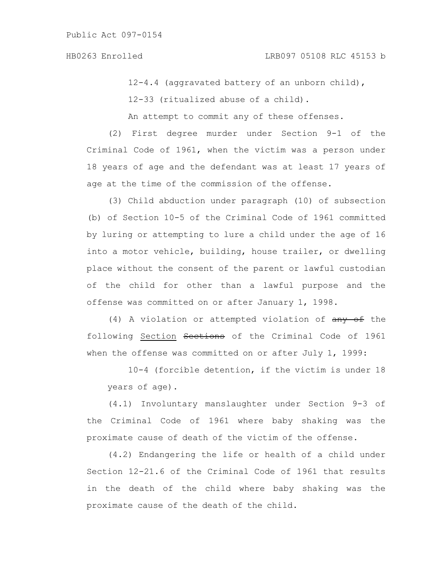12-4.4 (aggravated battery of an unborn child),

12-33 (ritualized abuse of a child).

An attempt to commit any of these offenses.

(2) First degree murder under Section 9-1 of the Criminal Code of 1961, when the victim was a person under 18 years of age and the defendant was at least 17 years of age at the time of the commission of the offense.

(3) Child abduction under paragraph (10) of subsection (b) of Section 10-5 of the Criminal Code of 1961 committed by luring or attempting to lure a child under the age of 16 into a motor vehicle, building, house trailer, or dwelling place without the consent of the parent or lawful custodian of the child for other than a lawful purpose and the offense was committed on or after January 1, 1998.

(4) A violation or attempted violation of  $\frac{any}{def}$  the following Section Sections of the Criminal Code of 1961 when the offense was committed on or after July 1, 1999:

10-4 (forcible detention, if the victim is under 18 years of age).

(4.1) Involuntary manslaughter under Section 9-3 of the Criminal Code of 1961 where baby shaking was the proximate cause of death of the victim of the offense.

(4.2) Endangering the life or health of a child under Section 12-21.6 of the Criminal Code of 1961 that results in the death of the child where baby shaking was the proximate cause of the death of the child.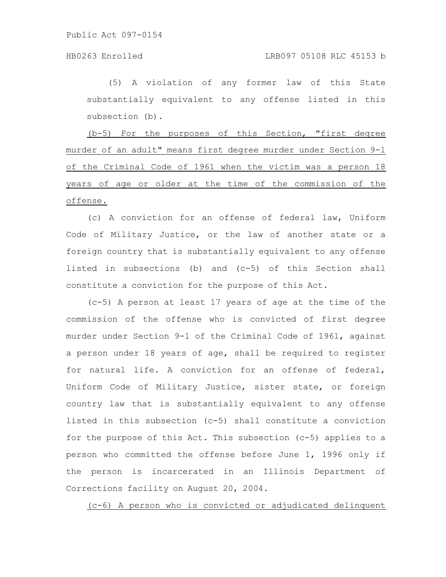(5) A violation of any former law of this State substantially equivalent to any offense listed in this subsection (b).

(b-5) For the purposes of this Section, "first degree murder of an adult" means first degree murder under Section 9-1 of the Criminal Code of 1961 when the victim was a person 18 years of age or older at the time of the commission of the offense.

(c) A conviction for an offense of federal law, Uniform Code of Military Justice, or the law of another state or a foreign country that is substantially equivalent to any offense listed in subsections (b) and (c-5) of this Section shall constitute a conviction for the purpose of this Act.

(c-5) A person at least 17 years of age at the time of the commission of the offense who is convicted of first degree murder under Section 9-1 of the Criminal Code of 1961, against a person under 18 years of age, shall be required to register for natural life. A conviction for an offense of federal, Uniform Code of Military Justice, sister state, or foreign country law that is substantially equivalent to any offense listed in this subsection (c-5) shall constitute a conviction for the purpose of this Act. This subsection (c-5) applies to a person who committed the offense before June 1, 1996 only if the person is incarcerated in an Illinois Department of Corrections facility on August 20, 2004.

(c-6) A person who is convicted or adjudicated delinquent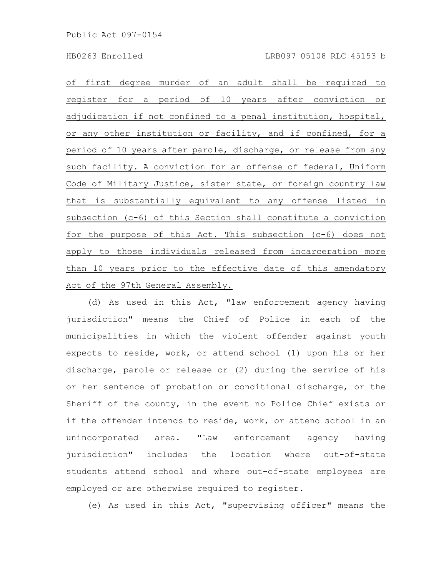of first degree murder of an adult shall be required to register for a period of 10 years after conviction or adjudication if not confined to a penal institution, hospital, or any other institution or facility, and if confined, for a period of 10 years after parole, discharge, or release from any such facility. A conviction for an offense of federal, Uniform Code of Military Justice, sister state, or foreign country law that is substantially equivalent to any offense listed in subsection (c-6) of this Section shall constitute a conviction for the purpose of this Act. This subsection (c-6) does not apply to those individuals released from incarceration more than 10 years prior to the effective date of this amendatory Act of the 97th General Assembly.

(d) As used in this Act, "law enforcement agency having jurisdiction" means the Chief of Police in each of the municipalities in which the violent offender against youth expects to reside, work, or attend school (1) upon his or her discharge, parole or release or (2) during the service of his or her sentence of probation or conditional discharge, or the Sheriff of the county, in the event no Police Chief exists or if the offender intends to reside, work, or attend school in an unincorporated area. "Law enforcement agency having jurisdiction" includes the location where out-of-state students attend school and where out-of-state employees are employed or are otherwise required to register.

(e) As used in this Act, "supervising officer" means the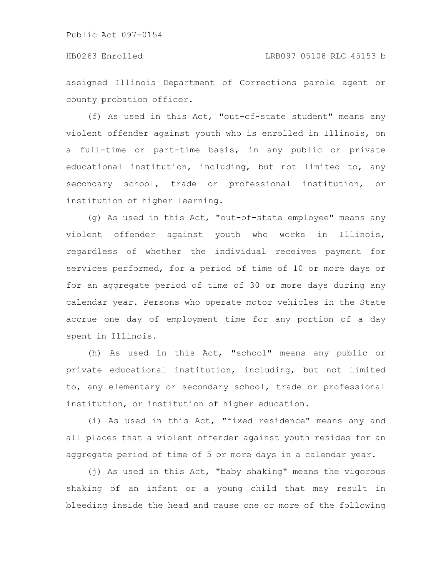assigned Illinois Department of Corrections parole agent or county probation officer.

(f) As used in this Act, "out-of-state student" means any violent offender against youth who is enrolled in Illinois, on a full-time or part-time basis, in any public or private educational institution, including, but not limited to, any secondary school, trade or professional institution, or institution of higher learning.

(g) As used in this Act, "out-of-state employee" means any violent offender against youth who works in Illinois, regardless of whether the individual receives payment for services performed, for a period of time of 10 or more days or for an aggregate period of time of 30 or more days during any calendar year. Persons who operate motor vehicles in the State accrue one day of employment time for any portion of a day spent in Illinois.

(h) As used in this Act, "school" means any public or private educational institution, including, but not limited to, any elementary or secondary school, trade or professional institution, or institution of higher education.

(i) As used in this Act, "fixed residence" means any and all places that a violent offender against youth resides for an aggregate period of time of 5 or more days in a calendar year.

(j) As used in this Act, "baby shaking" means the vigorous shaking of an infant or a young child that may result in bleeding inside the head and cause one or more of the following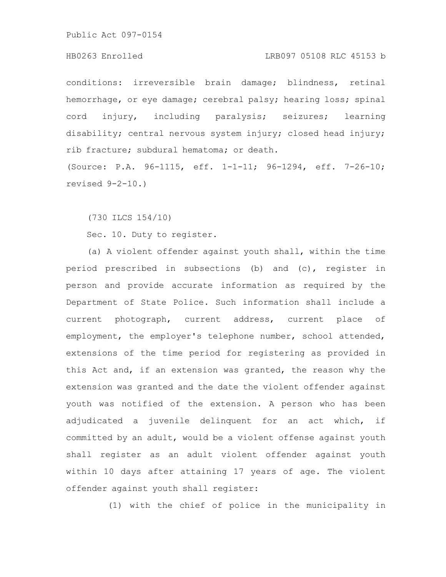# HB0263 Enrolled LRB097 05108 RLC 45153 b

conditions: irreversible brain damage; blindness, retinal hemorrhage, or eye damage; cerebral palsy; hearing loss; spinal cord injury, including paralysis; seizures; learning disability; central nervous system injury; closed head injury; rib fracture; subdural hematoma; or death.

(Source: P.A. 96-1115, eff. 1-1-11; 96-1294, eff. 7-26-10; revised 9-2-10.)

(730 ILCS 154/10)

Sec. 10. Duty to register.

(a) A violent offender against youth shall, within the time period prescribed in subsections (b) and (c), register in person and provide accurate information as required by the Department of State Police. Such information shall include a current photograph, current address, current place of employment, the employer's telephone number, school attended, extensions of the time period for registering as provided in this Act and, if an extension was granted, the reason why the extension was granted and the date the violent offender against youth was notified of the extension. A person who has been adjudicated a juvenile delinquent for an act which, if committed by an adult, would be a violent offense against youth shall register as an adult violent offender against youth within 10 days after attaining 17 years of age. The violent offender against youth shall register:

(1) with the chief of police in the municipality in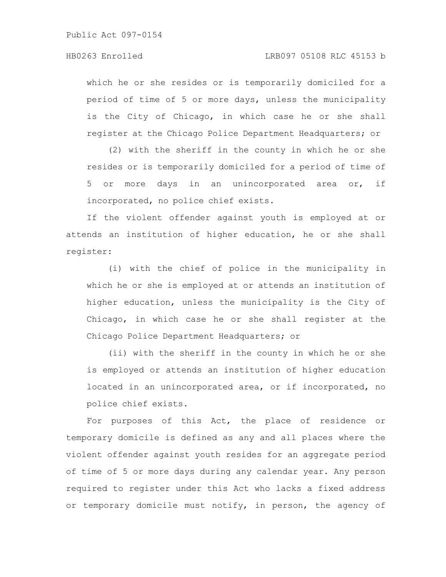# HB0263 Enrolled LRB097 05108 RLC 45153 b

which he or she resides or is temporarily domiciled for a period of time of 5 or more days, unless the municipality is the City of Chicago, in which case he or she shall register at the Chicago Police Department Headquarters; or

(2) with the sheriff in the county in which he or she resides or is temporarily domiciled for a period of time of 5 or more days in an unincorporated area or, if incorporated, no police chief exists.

If the violent offender against youth is employed at or attends an institution of higher education, he or she shall register:

(i) with the chief of police in the municipality in which he or she is employed at or attends an institution of higher education, unless the municipality is the City of Chicago, in which case he or she shall register at the Chicago Police Department Headquarters; or

(ii) with the sheriff in the county in which he or she is employed or attends an institution of higher education located in an unincorporated area, or if incorporated, no police chief exists.

For purposes of this Act, the place of residence or temporary domicile is defined as any and all places where the violent offender against youth resides for an aggregate period of time of 5 or more days during any calendar year. Any person required to register under this Act who lacks a fixed address or temporary domicile must notify, in person, the agency of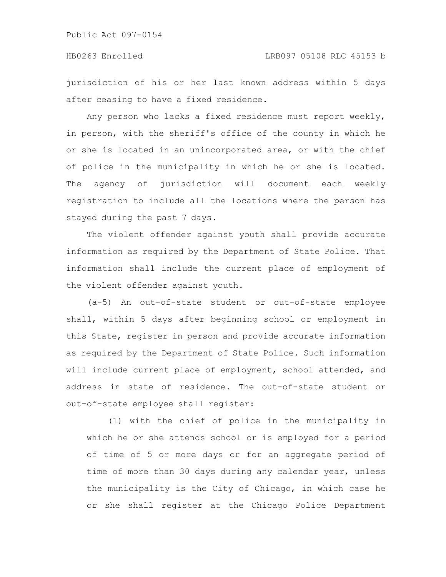jurisdiction of his or her last known address within 5 days after ceasing to have a fixed residence.

Any person who lacks a fixed residence must report weekly, in person, with the sheriff's office of the county in which he or she is located in an unincorporated area, or with the chief of police in the municipality in which he or she is located. The agency of jurisdiction will document each weekly registration to include all the locations where the person has stayed during the past 7 days.

The violent offender against youth shall provide accurate information as required by the Department of State Police. That information shall include the current place of employment of the violent offender against youth.

(a-5) An out-of-state student or out-of-state employee shall, within 5 days after beginning school or employment in this State, register in person and provide accurate information as required by the Department of State Police. Such information will include current place of employment, school attended, and address in state of residence. The out-of-state student or out-of-state employee shall register:

(1) with the chief of police in the municipality in which he or she attends school or is employed for a period of time of 5 or more days or for an aggregate period of time of more than 30 days during any calendar year, unless the municipality is the City of Chicago, in which case he or she shall register at the Chicago Police Department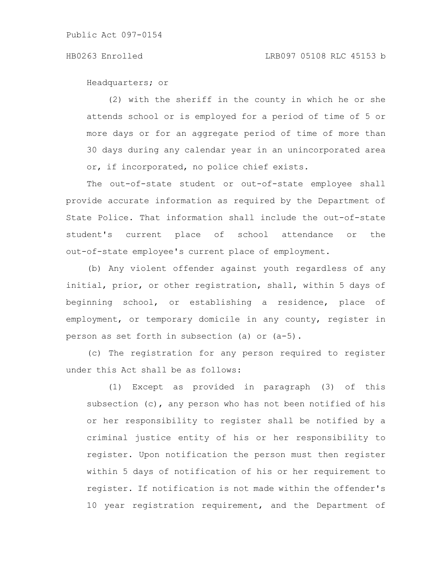Headquarters; or

(2) with the sheriff in the county in which he or she attends school or is employed for a period of time of 5 or more days or for an aggregate period of time of more than 30 days during any calendar year in an unincorporated area or, if incorporated, no police chief exists.

The out-of-state student or out-of-state employee shall provide accurate information as required by the Department of State Police. That information shall include the out-of-state student's current place of school attendance or the out-of-state employee's current place of employment.

(b) Any violent offender against youth regardless of any initial, prior, or other registration, shall, within 5 days of beginning school, or establishing a residence, place of employment, or temporary domicile in any county, register in person as set forth in subsection (a) or (a-5).

(c) The registration for any person required to register under this Act shall be as follows:

(1) Except as provided in paragraph (3) of this subsection (c), any person who has not been notified of his or her responsibility to register shall be notified by a criminal justice entity of his or her responsibility to register. Upon notification the person must then register within 5 days of notification of his or her requirement to register. If notification is not made within the offender's 10 year registration requirement, and the Department of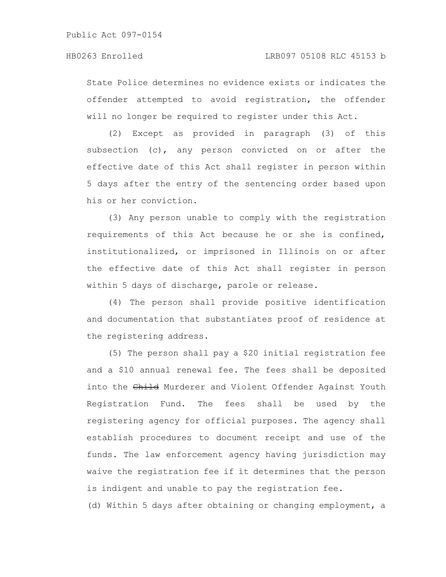State Police determines no evidence exists or indicates the offender attempted to avoid registration, the offender will no longer be required to register under this Act.

(2) Except as provided in paragraph (3) of this subsection (c), any person convicted on or after the effective date of this Act shall register in person within 5 days after the entry of the sentencing order based upon his or her conviction.

(3) Any person unable to comply with the registration requirements of this Act because he or she is confined, institutionalized, or imprisoned in Illinois on or after the effective date of this Act shall register in person within 5 days of discharge, parole or release.

(4) The person shall provide positive identification and documentation that substantiates proof of residence at the registering address.

(5) The person shall pay a \$20 initial registration fee and a \$10 annual renewal fee. The fees shall be deposited into the Child Murderer and Violent Offender Against Youth Registration Fund. The fees shall be used by the registering agency for official purposes. The agency shall establish procedures to document receipt and use of the funds. The law enforcement agency having jurisdiction may waive the registration fee if it determines that the person is indigent and unable to pay the registration fee.

(d) Within 5 days after obtaining or changing employment, a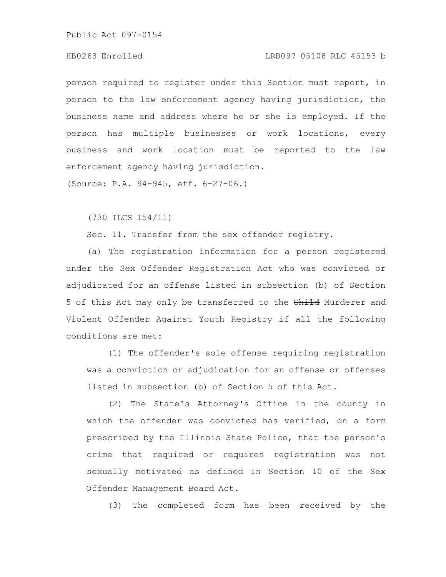### HB0263 Enrolled LRB097 05108 RLC 45153 b

person required to register under this Section must report, in person to the law enforcement agency having jurisdiction, the business name and address where he or she is employed. If the person has multiple businesses or work locations, every business and work location must be reported to the law enforcement agency having jurisdiction.

(Source: P.A. 94-945, eff. 6-27-06.)

(730 ILCS 154/11)

Sec. 11. Transfer from the sex offender registry.

(a) The registration information for a person registered under the Sex Offender Registration Act who was convicted or adjudicated for an offense listed in subsection (b) of Section 5 of this Act may only be transferred to the Child Murderer and Violent Offender Against Youth Registry if all the following conditions are met:

(1) The offender's sole offense requiring registration was a conviction or adjudication for an offense or offenses listed in subsection (b) of Section 5 of this Act.

(2) The State's Attorney's Office in the county in which the offender was convicted has verified, on a form prescribed by the Illinois State Police, that the person's crime that required or requires registration was not sexually motivated as defined in Section 10 of the Sex Offender Management Board Act.

(3) The completed form has been received by the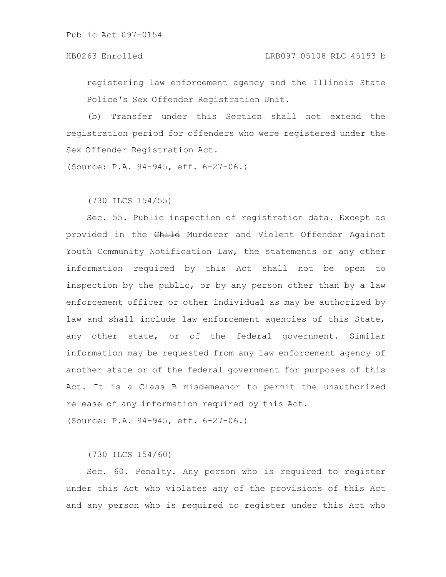registering law enforcement agency and the Illinois State Police's Sex Offender Registration Unit.

(b) Transfer under this Section shall not extend the registration period for offenders who were registered under the Sex Offender Registration Act.

(Source: P.A. 94-945, eff. 6-27-06.)

(730 ILCS 154/55)

Sec. 55. Public inspection of registration data. Except as provided in the Child Murderer and Violent Offender Against Youth Community Notification Law, the statements or any other information required by this Act shall not be open to inspection by the public, or by any person other than by a law enforcement officer or other individual as may be authorized by law and shall include law enforcement agencies of this State, any other state, or of the federal government. Similar information may be requested from any law enforcement agency of another state or of the federal government for purposes of this Act. It is a Class B misdemeanor to permit the unauthorized release of any information required by this Act.

(Source: P.A. 94-945, eff. 6-27-06.)

(730 ILCS 154/60)

Sec. 60. Penalty. Any person who is required to register under this Act who violates any of the provisions of this Act and any person who is required to register under this Act who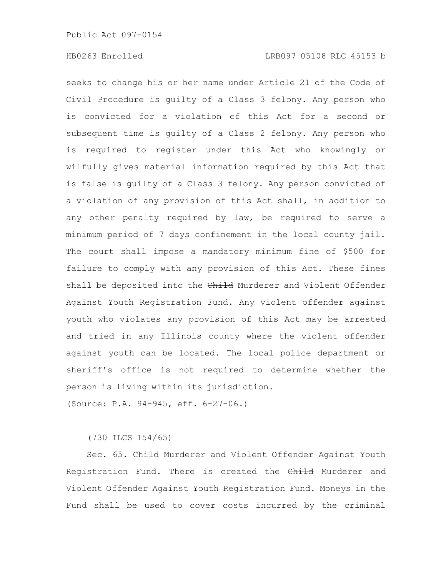seeks to change his or her name under Article 21 of the Code of Civil Procedure is guilty of a Class 3 felony. Any person who is convicted for a violation of this Act for a second or subsequent time is guilty of a Class 2 felony. Any person who is required to register under this Act who knowingly or wilfully gives material information required by this Act that is false is guilty of a Class 3 felony. Any person convicted of a violation of any provision of this Act shall, in addition to any other penalty required by law, be required to serve a minimum period of 7 days confinement in the local county jail. The court shall impose a mandatory minimum fine of \$500 for failure to comply with any provision of this Act. These fines shall be deposited into the Child Murderer and Violent Offender Against Youth Registration Fund. Any violent offender against youth who violates any provision of this Act may be arrested and tried in any Illinois county where the violent offender against youth can be located. The local police department or sheriff's office is not required to determine whether the person is living within its jurisdiction.

(Source: P.A. 94-945, eff. 6-27-06.)

(730 ILCS 154/65)

Sec. 65. Child Murderer and Violent Offender Against Youth Registration Fund. There is created the Child Murderer and Violent Offender Against Youth Registration Fund. Moneys in the Fund shall be used to cover costs incurred by the criminal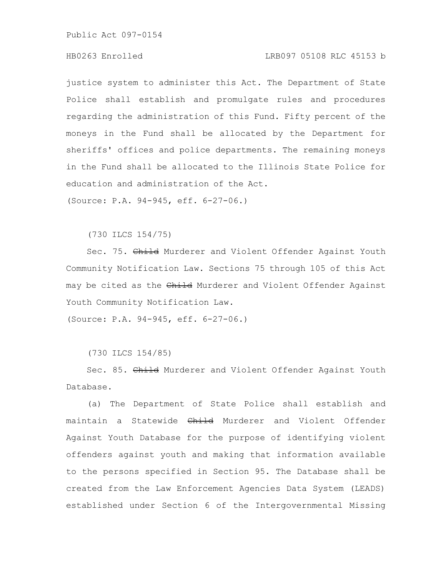# HB0263 Enrolled LRB097 05108 RLC 45153 b

justice system to administer this Act. The Department of State Police shall establish and promulgate rules and procedures regarding the administration of this Fund. Fifty percent of the moneys in the Fund shall be allocated by the Department for sheriffs' offices and police departments. The remaining moneys in the Fund shall be allocated to the Illinois State Police for education and administration of the Act.

(Source: P.A. 94-945, eff. 6-27-06.)

(730 ILCS 154/75)

Sec. 75. Child Murderer and Violent Offender Against Youth Community Notification Law. Sections 75 through 105 of this Act may be cited as the Child Murderer and Violent Offender Against Youth Community Notification Law.

(Source: P.A. 94-945, eff. 6-27-06.)

(730 ILCS 154/85)

Sec. 85. Child Murderer and Violent Offender Against Youth Database.

(a) The Department of State Police shall establish and maintain a Statewide Child Murderer and Violent Offender Against Youth Database for the purpose of identifying violent offenders against youth and making that information available to the persons specified in Section 95. The Database shall be created from the Law Enforcement Agencies Data System (LEADS) established under Section 6 of the Intergovernmental Missing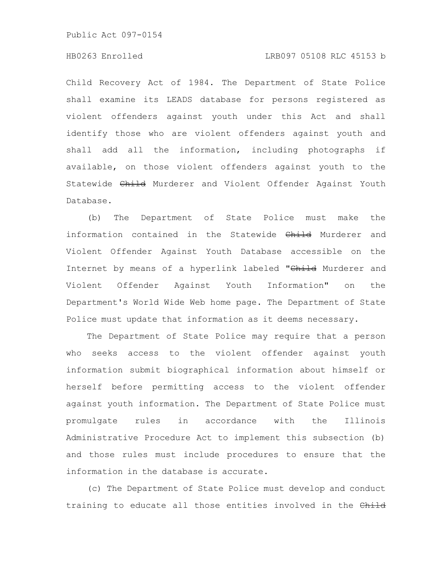# HB0263 Enrolled LRB097 05108 RLC 45153 b

Child Recovery Act of 1984. The Department of State Police shall examine its LEADS database for persons registered as violent offenders against youth under this Act and shall identify those who are violent offenders against youth and shall add all the information, including photographs if available, on those violent offenders against youth to the Statewide Child Murderer and Violent Offender Against Youth Database.

(b) The Department of State Police must make the information contained in the Statewide Child Murderer and Violent Offender Against Youth Database accessible on the Internet by means of a hyperlink labeled "Child Murderer and Violent Offender Against Youth Information" on the Department's World Wide Web home page. The Department of State Police must update that information as it deems necessary.

The Department of State Police may require that a person who seeks access to the violent offender against youth information submit biographical information about himself or herself before permitting access to the violent offender against youth information. The Department of State Police must promulgate rules in accordance with the Illinois Administrative Procedure Act to implement this subsection (b) and those rules must include procedures to ensure that the information in the database is accurate.

(c) The Department of State Police must develop and conduct training to educate all those entities involved in the Child